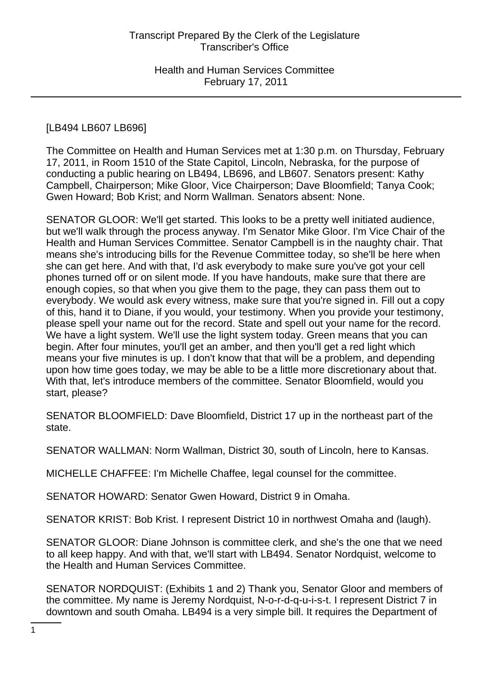## [LB494 LB607 LB696]

The Committee on Health and Human Services met at 1:30 p.m. on Thursday, February 17, 2011, in Room 1510 of the State Capitol, Lincoln, Nebraska, for the purpose of conducting a public hearing on LB494, LB696, and LB607. Senators present: Kathy Campbell, Chairperson; Mike Gloor, Vice Chairperson; Dave Bloomfield; Tanya Cook; Gwen Howard; Bob Krist; and Norm Wallman. Senators absent: None.

SENATOR GLOOR: We'll get started. This looks to be a pretty well initiated audience, but we'll walk through the process anyway. I'm Senator Mike Gloor. I'm Vice Chair of the Health and Human Services Committee. Senator Campbell is in the naughty chair. That means she's introducing bills for the Revenue Committee today, so she'll be here when she can get here. And with that, I'd ask everybody to make sure you've got your cell phones turned off or on silent mode. If you have handouts, make sure that there are enough copies, so that when you give them to the page, they can pass them out to everybody. We would ask every witness, make sure that you're signed in. Fill out a copy of this, hand it to Diane, if you would, your testimony. When you provide your testimony, please spell your name out for the record. State and spell out your name for the record. We have a light system. We'll use the light system today. Green means that you can begin. After four minutes, you'll get an amber, and then you'll get a red light which means your five minutes is up. I don't know that that will be a problem, and depending upon how time goes today, we may be able to be a little more discretionary about that. With that, let's introduce members of the committee. Senator Bloomfield, would you start, please?

SENATOR BLOOMFIELD: Dave Bloomfield, District 17 up in the northeast part of the state.

SENATOR WALLMAN: Norm Wallman, District 30, south of Lincoln, here to Kansas.

MICHELLE CHAFFEE: I'm Michelle Chaffee, legal counsel for the committee.

SENATOR HOWARD: Senator Gwen Howard, District 9 in Omaha.

SENATOR KRIST: Bob Krist. I represent District 10 in northwest Omaha and (laugh).

SENATOR GLOOR: Diane Johnson is committee clerk, and she's the one that we need to all keep happy. And with that, we'll start with LB494. Senator Nordquist, welcome to the Health and Human Services Committee.

SENATOR NORDQUIST: (Exhibits 1 and 2) Thank you, Senator Gloor and members of the committee. My name is Jeremy Nordquist, N-o-r-d-q-u-i-s-t. I represent District 7 in downtown and south Omaha. LB494 is a very simple bill. It requires the Department of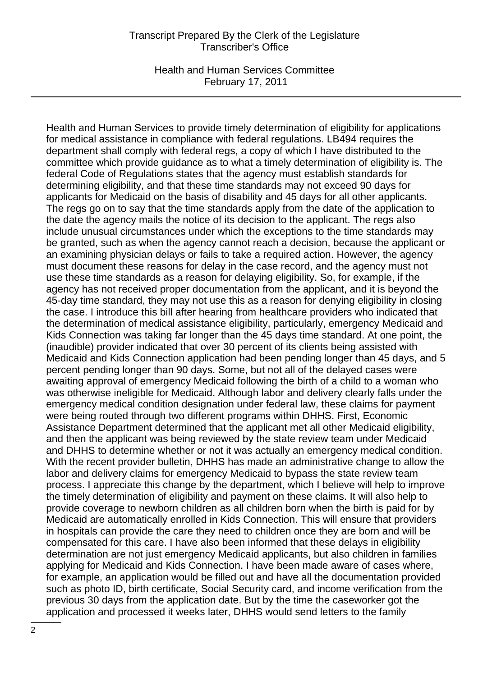Health and Human Services Committee February 17, 2011

Health and Human Services to provide timely determination of eligibility for applications for medical assistance in compliance with federal regulations. LB494 requires the department shall comply with federal regs, a copy of which I have distributed to the committee which provide guidance as to what a timely determination of eligibility is. The federal Code of Regulations states that the agency must establish standards for determining eligibility, and that these time standards may not exceed 90 days for applicants for Medicaid on the basis of disability and 45 days for all other applicants. The regs go on to say that the time standards apply from the date of the application to the date the agency mails the notice of its decision to the applicant. The regs also include unusual circumstances under which the exceptions to the time standards may be granted, such as when the agency cannot reach a decision, because the applicant or an examining physician delays or fails to take a required action. However, the agency must document these reasons for delay in the case record, and the agency must not use these time standards as a reason for delaying eligibility. So, for example, if the agency has not received proper documentation from the applicant, and it is beyond the 45-day time standard, they may not use this as a reason for denying eligibility in closing the case. I introduce this bill after hearing from healthcare providers who indicated that the determination of medical assistance eligibility, particularly, emergency Medicaid and Kids Connection was taking far longer than the 45 days time standard. At one point, the (inaudible) provider indicated that over 30 percent of its clients being assisted with Medicaid and Kids Connection application had been pending longer than 45 days, and 5 percent pending longer than 90 days. Some, but not all of the delayed cases were awaiting approval of emergency Medicaid following the birth of a child to a woman who was otherwise ineligible for Medicaid. Although labor and delivery clearly falls under the emergency medical condition designation under federal law, these claims for payment were being routed through two different programs within DHHS. First, Economic Assistance Department determined that the applicant met all other Medicaid eligibility, and then the applicant was being reviewed by the state review team under Medicaid and DHHS to determine whether or not it was actually an emergency medical condition. With the recent provider bulletin, DHHS has made an administrative change to allow the labor and delivery claims for emergency Medicaid to bypass the state review team process. I appreciate this change by the department, which I believe will help to improve the timely determination of eligibility and payment on these claims. It will also help to provide coverage to newborn children as all children born when the birth is paid for by Medicaid are automatically enrolled in Kids Connection. This will ensure that providers in hospitals can provide the care they need to children once they are born and will be compensated for this care. I have also been informed that these delays in eligibility determination are not just emergency Medicaid applicants, but also children in families applying for Medicaid and Kids Connection. I have been made aware of cases where, for example, an application would be filled out and have all the documentation provided such as photo ID, birth certificate, Social Security card, and income verification from the previous 30 days from the application date. But by the time the caseworker got the application and processed it weeks later, DHHS would send letters to the family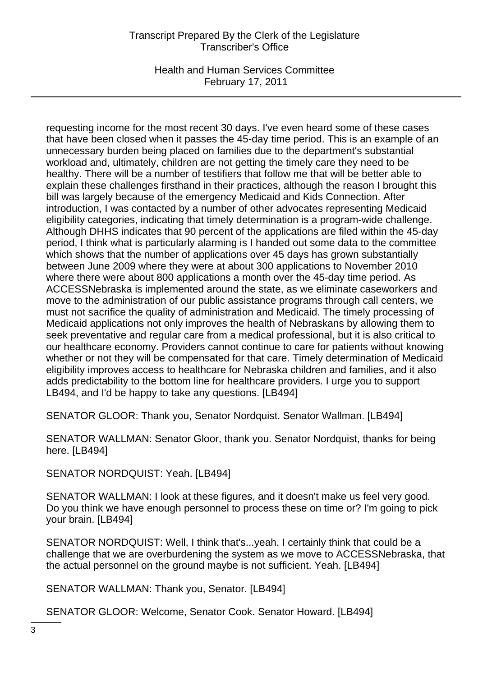Health and Human Services Committee February 17, 2011

requesting income for the most recent 30 days. I've even heard some of these cases that have been closed when it passes the 45-day time period. This is an example of an unnecessary burden being placed on families due to the department's substantial workload and, ultimately, children are not getting the timely care they need to be healthy. There will be a number of testifiers that follow me that will be better able to explain these challenges firsthand in their practices, although the reason I brought this bill was largely because of the emergency Medicaid and Kids Connection. After introduction, I was contacted by a number of other advocates representing Medicaid eligibility categories, indicating that timely determination is a program-wide challenge. Although DHHS indicates that 90 percent of the applications are filed within the 45-day period, I think what is particularly alarming is I handed out some data to the committee which shows that the number of applications over 45 days has grown substantially between June 2009 where they were at about 300 applications to November 2010 where there were about 800 applications a month over the 45-day time period. As ACCESSNebraska is implemented around the state, as we eliminate caseworkers and move to the administration of our public assistance programs through call centers, we must not sacrifice the quality of administration and Medicaid. The timely processing of Medicaid applications not only improves the health of Nebraskans by allowing them to seek preventative and regular care from a medical professional, but it is also critical to our healthcare economy. Providers cannot continue to care for patients without knowing whether or not they will be compensated for that care. Timely determination of Medicaid eligibility improves access to healthcare for Nebraska children and families, and it also adds predictability to the bottom line for healthcare providers. I urge you to support LB494, and I'd be happy to take any questions. [LB494]

SENATOR GLOOR: Thank you, Senator Nordquist. Senator Wallman. [LB494]

SENATOR WALLMAN: Senator Gloor, thank you. Senator Nordquist, thanks for being here. [LB494]

SENATOR NORDQUIST: Yeah. [LB494]

SENATOR WALLMAN: I look at these figures, and it doesn't make us feel very good. Do you think we have enough personnel to process these on time or? I'm going to pick your brain. [LB494]

SENATOR NORDQUIST: Well, I think that's...yeah. I certainly think that could be a challenge that we are overburdening the system as we move to ACCESSNebraska, that the actual personnel on the ground maybe is not sufficient. Yeah. [LB494]

SENATOR WALLMAN: Thank you, Senator. [LB494]

SENATOR GLOOR: Welcome, Senator Cook. Senator Howard. [LB494]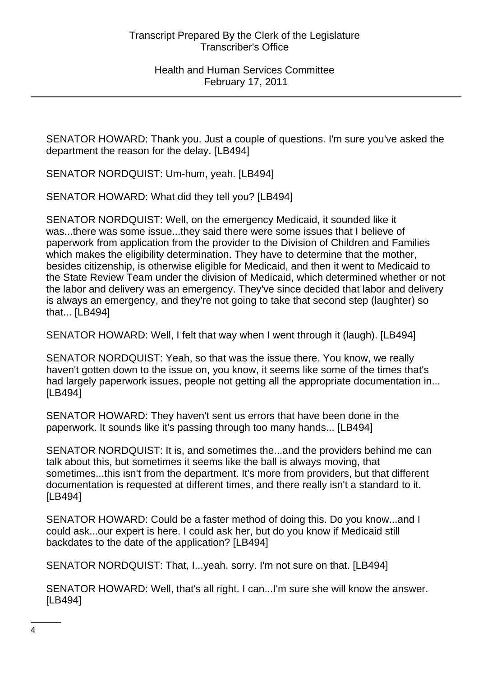SENATOR HOWARD: Thank you. Just a couple of questions. I'm sure you've asked the department the reason for the delay. [LB494]

SENATOR NORDQUIST: Um-hum, yeah. [LB494]

SENATOR HOWARD: What did they tell you? [LB494]

SENATOR NORDQUIST: Well, on the emergency Medicaid, it sounded like it was...there was some issue...they said there were some issues that I believe of paperwork from application from the provider to the Division of Children and Families which makes the eligibility determination. They have to determine that the mother, besides citizenship, is otherwise eligible for Medicaid, and then it went to Medicaid to the State Review Team under the division of Medicaid, which determined whether or not the labor and delivery was an emergency. They've since decided that labor and delivery is always an emergency, and they're not going to take that second step (laughter) so that... [LB494]

SENATOR HOWARD: Well, I felt that way when I went through it (laugh). [LB494]

SENATOR NORDQUIST: Yeah, so that was the issue there. You know, we really haven't gotten down to the issue on, you know, it seems like some of the times that's had largely paperwork issues, people not getting all the appropriate documentation in... [LB494]

SENATOR HOWARD: They haven't sent us errors that have been done in the paperwork. It sounds like it's passing through too many hands... [LB494]

SENATOR NORDQUIST: It is, and sometimes the...and the providers behind me can talk about this, but sometimes it seems like the ball is always moving, that sometimes...this isn't from the department. It's more from providers, but that different documentation is requested at different times, and there really isn't a standard to it. [LB494]

SENATOR HOWARD: Could be a faster method of doing this. Do you know...and I could ask...our expert is here. I could ask her, but do you know if Medicaid still backdates to the date of the application? [LB494]

SENATOR NORDQUIST: That, I...yeah, sorry. I'm not sure on that. [LB494]

SENATOR HOWARD: Well, that's all right. I can...I'm sure she will know the answer. [LB494]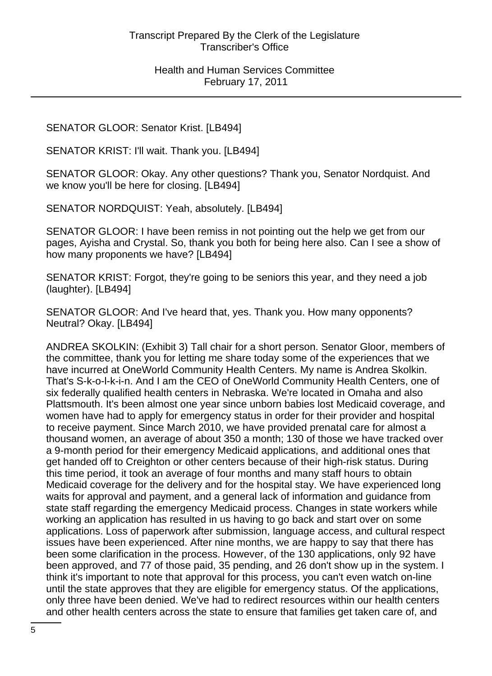SENATOR GLOOR: Senator Krist. [LB494]

SENATOR KRIST: I'll wait. Thank you. [LB494]

SENATOR GLOOR: Okay. Any other questions? Thank you, Senator Nordquist. And we know you'll be here for closing. [LB494]

SENATOR NORDQUIST: Yeah, absolutely. [LB494]

SENATOR GLOOR: I have been remiss in not pointing out the help we get from our pages, Ayisha and Crystal. So, thank you both for being here also. Can I see a show of how many proponents we have? [LB494]

SENATOR KRIST: Forgot, they're going to be seniors this year, and they need a job (laughter). [LB494]

SENATOR GLOOR: And I've heard that, yes. Thank you. How many opponents? Neutral? Okay. [LB494]

ANDREA SKOLKIN: (Exhibit 3) Tall chair for a short person. Senator Gloor, members of the committee, thank you for letting me share today some of the experiences that we have incurred at OneWorld Community Health Centers. My name is Andrea Skolkin. That's S-k-o-l-k-i-n. And I am the CEO of OneWorld Community Health Centers, one of six federally qualified health centers in Nebraska. We're located in Omaha and also Plattsmouth. It's been almost one year since unborn babies lost Medicaid coverage, and women have had to apply for emergency status in order for their provider and hospital to receive payment. Since March 2010, we have provided prenatal care for almost a thousand women, an average of about 350 a month; 130 of those we have tracked over a 9-month period for their emergency Medicaid applications, and additional ones that get handed off to Creighton or other centers because of their high-risk status. During this time period, it took an average of four months and many staff hours to obtain Medicaid coverage for the delivery and for the hospital stay. We have experienced long waits for approval and payment, and a general lack of information and guidance from state staff regarding the emergency Medicaid process. Changes in state workers while working an application has resulted in us having to go back and start over on some applications. Loss of paperwork after submission, language access, and cultural respect issues have been experienced. After nine months, we are happy to say that there has been some clarification in the process. However, of the 130 applications, only 92 have been approved, and 77 of those paid, 35 pending, and 26 don't show up in the system. I think it's important to note that approval for this process, you can't even watch on-line until the state approves that they are eligible for emergency status. Of the applications, only three have been denied. We've had to redirect resources within our health centers and other health centers across the state to ensure that families get taken care of, and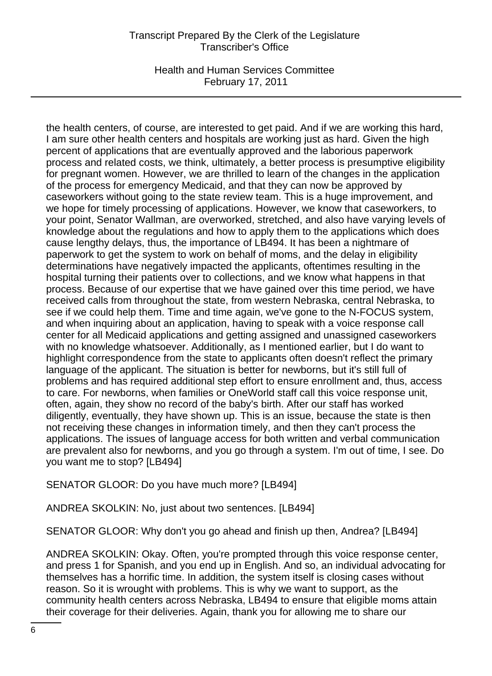Health and Human Services Committee February 17, 2011

the health centers, of course, are interested to get paid. And if we are working this hard, I am sure other health centers and hospitals are working just as hard. Given the high percent of applications that are eventually approved and the laborious paperwork process and related costs, we think, ultimately, a better process is presumptive eligibility for pregnant women. However, we are thrilled to learn of the changes in the application of the process for emergency Medicaid, and that they can now be approved by caseworkers without going to the state review team. This is a huge improvement, and we hope for timely processing of applications. However, we know that caseworkers, to your point, Senator Wallman, are overworked, stretched, and also have varying levels of knowledge about the regulations and how to apply them to the applications which does cause lengthy delays, thus, the importance of LB494. It has been a nightmare of paperwork to get the system to work on behalf of moms, and the delay in eligibility determinations have negatively impacted the applicants, oftentimes resulting in the hospital turning their patients over to collections, and we know what happens in that process. Because of our expertise that we have gained over this time period, we have received calls from throughout the state, from western Nebraska, central Nebraska, to see if we could help them. Time and time again, we've gone to the N-FOCUS system, and when inquiring about an application, having to speak with a voice response call center for all Medicaid applications and getting assigned and unassigned caseworkers with no knowledge whatsoever. Additionally, as I mentioned earlier, but I do want to highlight correspondence from the state to applicants often doesn't reflect the primary language of the applicant. The situation is better for newborns, but it's still full of problems and has required additional step effort to ensure enrollment and, thus, access to care. For newborns, when families or OneWorld staff call this voice response unit, often, again, they show no record of the baby's birth. After our staff has worked diligently, eventually, they have shown up. This is an issue, because the state is then not receiving these changes in information timely, and then they can't process the applications. The issues of language access for both written and verbal communication are prevalent also for newborns, and you go through a system. I'm out of time, I see. Do you want me to stop? [LB494]

SENATOR GLOOR: Do you have much more? [LB494]

ANDREA SKOLKIN: No, just about two sentences. [LB494]

SENATOR GLOOR: Why don't you go ahead and finish up then, Andrea? [LB494]

ANDREA SKOLKIN: Okay. Often, you're prompted through this voice response center, and press 1 for Spanish, and you end up in English. And so, an individual advocating for themselves has a horrific time. In addition, the system itself is closing cases without reason. So it is wrought with problems. This is why we want to support, as the community health centers across Nebraska, LB494 to ensure that eligible moms attain their coverage for their deliveries. Again, thank you for allowing me to share our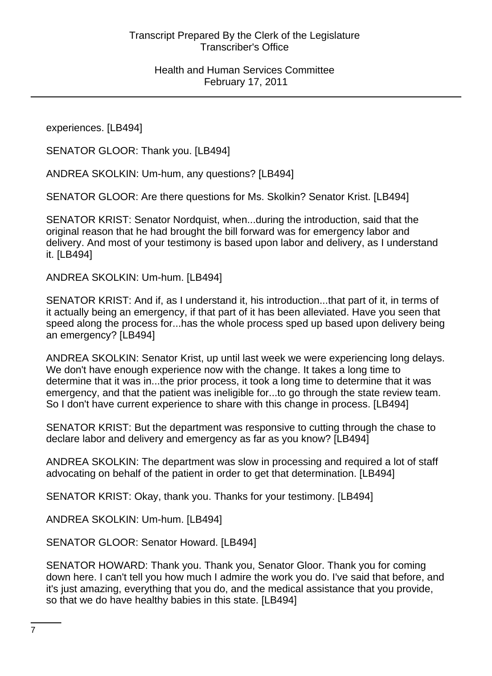experiences. [LB494]

SENATOR GLOOR: Thank you. [LB494]

ANDREA SKOLKIN: Um-hum, any questions? [LB494]

SENATOR GLOOR: Are there questions for Ms. Skolkin? Senator Krist. [LB494]

SENATOR KRIST: Senator Nordquist, when...during the introduction, said that the original reason that he had brought the bill forward was for emergency labor and delivery. And most of your testimony is based upon labor and delivery, as I understand it. [LB494]

ANDREA SKOLKIN: Um-hum. [LB494]

SENATOR KRIST: And if, as I understand it, his introduction...that part of it, in terms of it actually being an emergency, if that part of it has been alleviated. Have you seen that speed along the process for...has the whole process sped up based upon delivery being an emergency? [LB494]

ANDREA SKOLKIN: Senator Krist, up until last week we were experiencing long delays. We don't have enough experience now with the change. It takes a long time to determine that it was in...the prior process, it took a long time to determine that it was emergency, and that the patient was ineligible for...to go through the state review team. So I don't have current experience to share with this change in process. [LB494]

SENATOR KRIST: But the department was responsive to cutting through the chase to declare labor and delivery and emergency as far as you know? [LB494]

ANDREA SKOLKIN: The department was slow in processing and required a lot of staff advocating on behalf of the patient in order to get that determination. [LB494]

SENATOR KRIST: Okay, thank you. Thanks for your testimony. [LB494]

ANDREA SKOLKIN: Um-hum. [LB494]

SENATOR GLOOR: Senator Howard. [LB494]

SENATOR HOWARD: Thank you. Thank you, Senator Gloor. Thank you for coming down here. I can't tell you how much I admire the work you do. I've said that before, and it's just amazing, everything that you do, and the medical assistance that you provide, so that we do have healthy babies in this state. [LB494]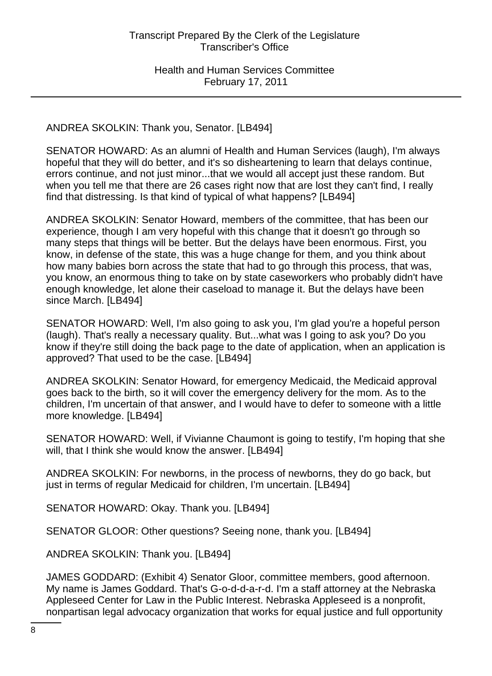ANDREA SKOLKIN: Thank you, Senator. [LB494]

SENATOR HOWARD: As an alumni of Health and Human Services (laugh), I'm always hopeful that they will do better, and it's so disheartening to learn that delays continue, errors continue, and not just minor...that we would all accept just these random. But when you tell me that there are 26 cases right now that are lost they can't find, I really find that distressing. Is that kind of typical of what happens? [LB494]

ANDREA SKOLKIN: Senator Howard, members of the committee, that has been our experience, though I am very hopeful with this change that it doesn't go through so many steps that things will be better. But the delays have been enormous. First, you know, in defense of the state, this was a huge change for them, and you think about how many babies born across the state that had to go through this process, that was, you know, an enormous thing to take on by state caseworkers who probably didn't have enough knowledge, let alone their caseload to manage it. But the delays have been since March. [LB494]

SENATOR HOWARD: Well, I'm also going to ask you, I'm glad you're a hopeful person (laugh). That's really a necessary quality. But...what was I going to ask you? Do you know if they're still doing the back page to the date of application, when an application is approved? That used to be the case. [LB494]

ANDREA SKOLKIN: Senator Howard, for emergency Medicaid, the Medicaid approval goes back to the birth, so it will cover the emergency delivery for the mom. As to the children, I'm uncertain of that answer, and I would have to defer to someone with a little more knowledge. [LB494]

SENATOR HOWARD: Well, if Vivianne Chaumont is going to testify, I'm hoping that she will, that I think she would know the answer. [LB494]

ANDREA SKOLKIN: For newborns, in the process of newborns, they do go back, but just in terms of regular Medicaid for children, I'm uncertain. [LB494]

SENATOR HOWARD: Okay. Thank you. [LB494]

SENATOR GLOOR: Other questions? Seeing none, thank you. [LB494]

ANDREA SKOLKIN: Thank you. [LB494]

JAMES GODDARD: (Exhibit 4) Senator Gloor, committee members, good afternoon. My name is James Goddard. That's G-o-d-d-a-r-d. I'm a staff attorney at the Nebraska Appleseed Center for Law in the Public Interest. Nebraska Appleseed is a nonprofit, nonpartisan legal advocacy organization that works for equal justice and full opportunity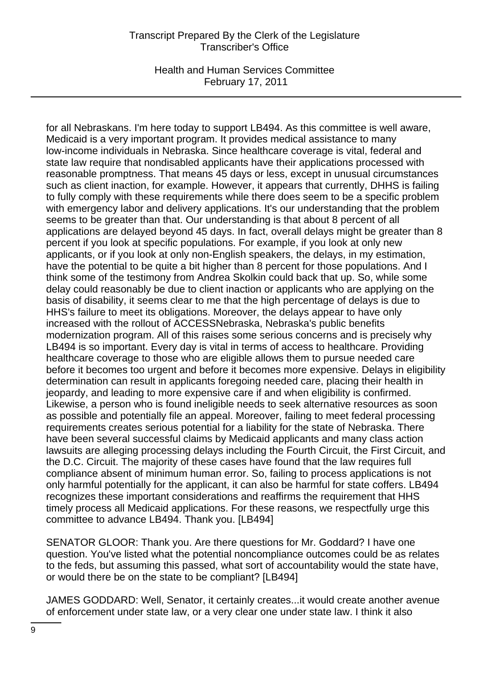Health and Human Services Committee February 17, 2011

for all Nebraskans. I'm here today to support LB494. As this committee is well aware, Medicaid is a very important program. It provides medical assistance to many low-income individuals in Nebraska. Since healthcare coverage is vital, federal and state law require that nondisabled applicants have their applications processed with reasonable promptness. That means 45 days or less, except in unusual circumstances such as client inaction, for example. However, it appears that currently, DHHS is failing to fully comply with these requirements while there does seem to be a specific problem with emergency labor and delivery applications. It's our understanding that the problem seems to be greater than that. Our understanding is that about 8 percent of all applications are delayed beyond 45 days. In fact, overall delays might be greater than 8 percent if you look at specific populations. For example, if you look at only new applicants, or if you look at only non-English speakers, the delays, in my estimation, have the potential to be quite a bit higher than 8 percent for those populations. And I think some of the testimony from Andrea Skolkin could back that up. So, while some delay could reasonably be due to client inaction or applicants who are applying on the basis of disability, it seems clear to me that the high percentage of delays is due to HHS's failure to meet its obligations. Moreover, the delays appear to have only increased with the rollout of ACCESSNebraska, Nebraska's public benefits modernization program. All of this raises some serious concerns and is precisely why LB494 is so important. Every day is vital in terms of access to healthcare. Providing healthcare coverage to those who are eligible allows them to pursue needed care before it becomes too urgent and before it becomes more expensive. Delays in eligibility determination can result in applicants foregoing needed care, placing their health in jeopardy, and leading to more expensive care if and when eligibility is confirmed. Likewise, a person who is found ineligible needs to seek alternative resources as soon as possible and potentially file an appeal. Moreover, failing to meet federal processing requirements creates serious potential for a liability for the state of Nebraska. There have been several successful claims by Medicaid applicants and many class action lawsuits are alleging processing delays including the Fourth Circuit, the First Circuit, and the D.C. Circuit. The majority of these cases have found that the law requires full compliance absent of minimum human error. So, failing to process applications is not only harmful potentially for the applicant, it can also be harmful for state coffers. LB494 recognizes these important considerations and reaffirms the requirement that HHS timely process all Medicaid applications. For these reasons, we respectfully urge this committee to advance LB494. Thank you. [LB494]

SENATOR GLOOR: Thank you. Are there questions for Mr. Goddard? I have one question. You've listed what the potential noncompliance outcomes could be as relates to the feds, but assuming this passed, what sort of accountability would the state have, or would there be on the state to be compliant? [LB494]

JAMES GODDARD: Well, Senator, it certainly creates...it would create another avenue of enforcement under state law, or a very clear one under state law. I think it also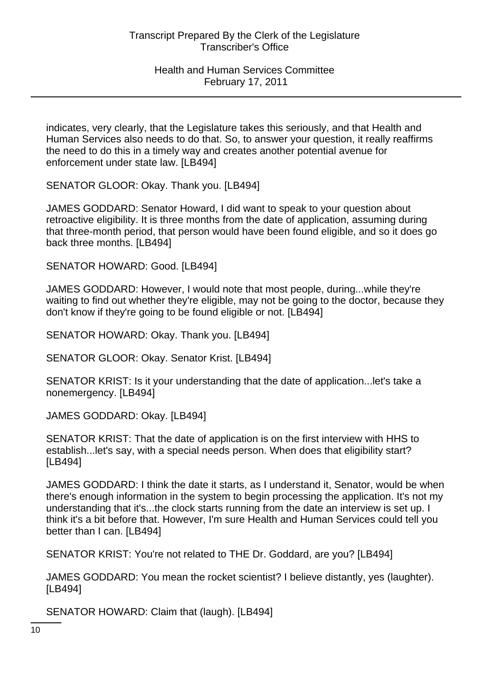indicates, very clearly, that the Legislature takes this seriously, and that Health and Human Services also needs to do that. So, to answer your question, it really reaffirms the need to do this in a timely way and creates another potential avenue for enforcement under state law. [LB494]

SENATOR GLOOR: Okay. Thank you. [LB494]

JAMES GODDARD: Senator Howard, I did want to speak to your question about retroactive eligibility. It is three months from the date of application, assuming during that three-month period, that person would have been found eligible, and so it does go back three months. [LB494]

SENATOR HOWARD: Good. [LB494]

JAMES GODDARD: However, I would note that most people, during...while they're waiting to find out whether they're eligible, may not be going to the doctor, because they don't know if they're going to be found eligible or not. [LB494]

SENATOR HOWARD: Okay. Thank you. [LB494]

SENATOR GLOOR: Okay. Senator Krist. [LB494]

SENATOR KRIST: Is it your understanding that the date of application...let's take a nonemergency. [LB494]

JAMES GODDARD: Okay. [LB494]

SENATOR KRIST: That the date of application is on the first interview with HHS to establish...let's say, with a special needs person. When does that eligibility start? [LB494]

JAMES GODDARD: I think the date it starts, as I understand it, Senator, would be when there's enough information in the system to begin processing the application. It's not my understanding that it's...the clock starts running from the date an interview is set up. I think it's a bit before that. However, I'm sure Health and Human Services could tell you better than I can. [LB494]

SENATOR KRIST: You're not related to THE Dr. Goddard, are you? [LB494]

JAMES GODDARD: You mean the rocket scientist? I believe distantly, yes (laughter). [LB494]

SENATOR HOWARD: Claim that (laugh). [LB494]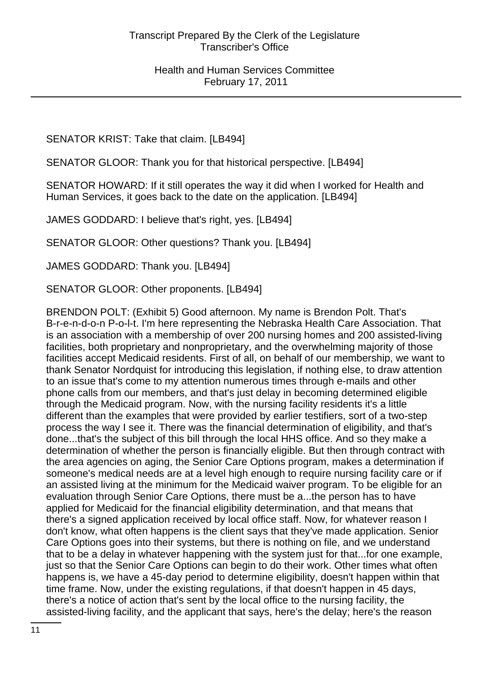SENATOR KRIST: Take that claim. [LB494]

SENATOR GLOOR: Thank you for that historical perspective. [LB494]

SENATOR HOWARD: If it still operates the way it did when I worked for Health and Human Services, it goes back to the date on the application. [LB494]

JAMES GODDARD: I believe that's right, yes. [LB494]

SENATOR GLOOR: Other questions? Thank you. [LB494]

JAMES GODDARD: Thank you. [LB494]

SENATOR GLOOR: Other proponents. [LB494]

BRENDON POLT: (Exhibit 5) Good afternoon. My name is Brendon Polt. That's B-r-e-n-d-o-n P-o-l-t. I'm here representing the Nebraska Health Care Association. That is an association with a membership of over 200 nursing homes and 200 assisted-living facilities, both proprietary and nonproprietary, and the overwhelming majority of those facilities accept Medicaid residents. First of all, on behalf of our membership, we want to thank Senator Nordquist for introducing this legislation, if nothing else, to draw attention to an issue that's come to my attention numerous times through e-mails and other phone calls from our members, and that's just delay in becoming determined eligible through the Medicaid program. Now, with the nursing facility residents it's a little different than the examples that were provided by earlier testifiers, sort of a two-step process the way I see it. There was the financial determination of eligibility, and that's done...that's the subject of this bill through the local HHS office. And so they make a determination of whether the person is financially eligible. But then through contract with the area agencies on aging, the Senior Care Options program, makes a determination if someone's medical needs are at a level high enough to require nursing facility care or if an assisted living at the minimum for the Medicaid waiver program. To be eligible for an evaluation through Senior Care Options, there must be a...the person has to have applied for Medicaid for the financial eligibility determination, and that means that there's a signed application received by local office staff. Now, for whatever reason I don't know, what often happens is the client says that they've made application. Senior Care Options goes into their systems, but there is nothing on file, and we understand that to be a delay in whatever happening with the system just for that...for one example, just so that the Senior Care Options can begin to do their work. Other times what often happens is, we have a 45-day period to determine eligibility, doesn't happen within that time frame. Now, under the existing regulations, if that doesn't happen in 45 days, there's a notice of action that's sent by the local office to the nursing facility, the assisted-living facility, and the applicant that says, here's the delay; here's the reason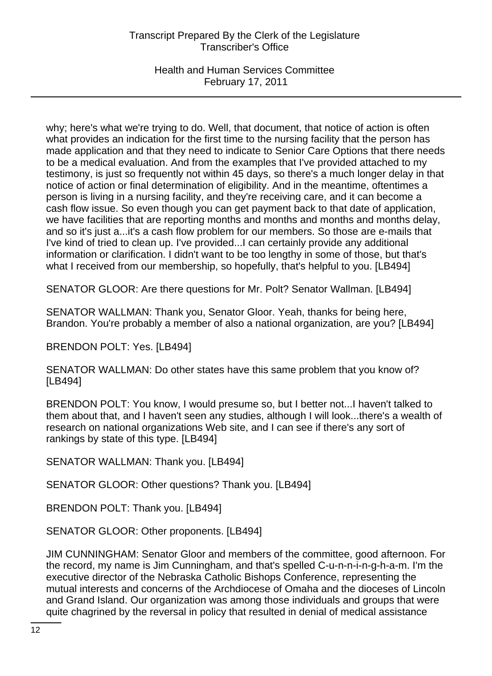Health and Human Services Committee February 17, 2011

why; here's what we're trying to do. Well, that document, that notice of action is often what provides an indication for the first time to the nursing facility that the person has made application and that they need to indicate to Senior Care Options that there needs to be a medical evaluation. And from the examples that I've provided attached to my testimony, is just so frequently not within 45 days, so there's a much longer delay in that notice of action or final determination of eligibility. And in the meantime, oftentimes a person is living in a nursing facility, and they're receiving care, and it can become a cash flow issue. So even though you can get payment back to that date of application, we have facilities that are reporting months and months and months and months delay, and so it's just a...it's a cash flow problem for our members. So those are e-mails that I've kind of tried to clean up. I've provided...I can certainly provide any additional information or clarification. I didn't want to be too lengthy in some of those, but that's what I received from our membership, so hopefully, that's helpful to you. [LB494]

SENATOR GLOOR: Are there questions for Mr. Polt? Senator Wallman. [LB494]

SENATOR WALLMAN: Thank you, Senator Gloor. Yeah, thanks for being here, Brandon. You're probably a member of also a national organization, are you? [LB494]

BRENDON POLT: Yes. [LB494]

SENATOR WALLMAN: Do other states have this same problem that you know of? [LB494]

BRENDON POLT: You know, I would presume so, but I better not...I haven't talked to them about that, and I haven't seen any studies, although I will look...there's a wealth of research on national organizations Web site, and I can see if there's any sort of rankings by state of this type. [LB494]

SENATOR WALLMAN: Thank you. [LB494]

SENATOR GLOOR: Other questions? Thank you. [LB494]

BRENDON POLT: Thank you. [LB494]

SENATOR GLOOR: Other proponents. [LB494]

JIM CUNNINGHAM: Senator Gloor and members of the committee, good afternoon. For the record, my name is Jim Cunningham, and that's spelled C-u-n-n-i-n-g-h-a-m. I'm the executive director of the Nebraska Catholic Bishops Conference, representing the mutual interests and concerns of the Archdiocese of Omaha and the dioceses of Lincoln and Grand Island. Our organization was among those individuals and groups that were quite chagrined by the reversal in policy that resulted in denial of medical assistance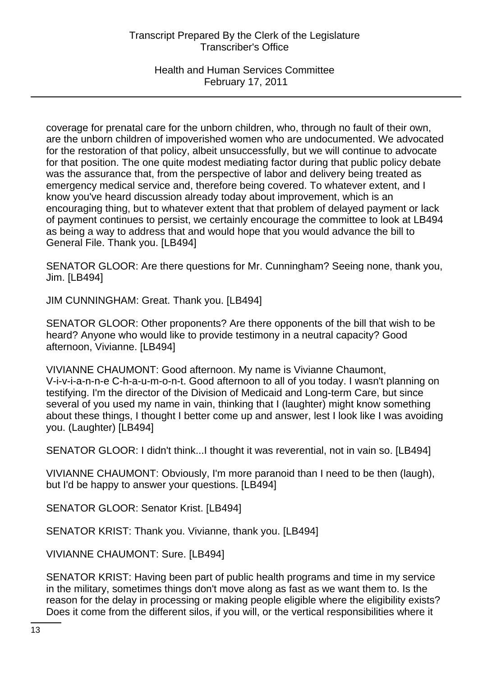Health and Human Services Committee February 17, 2011

coverage for prenatal care for the unborn children, who, through no fault of their own, are the unborn children of impoverished women who are undocumented. We advocated for the restoration of that policy, albeit unsuccessfully, but we will continue to advocate for that position. The one quite modest mediating factor during that public policy debate was the assurance that, from the perspective of labor and delivery being treated as emergency medical service and, therefore being covered. To whatever extent, and I know you've heard discussion already today about improvement, which is an encouraging thing, but to whatever extent that that problem of delayed payment or lack of payment continues to persist, we certainly encourage the committee to look at LB494 as being a way to address that and would hope that you would advance the bill to General File. Thank you. [LB494]

SENATOR GLOOR: Are there questions for Mr. Cunningham? Seeing none, thank you, Jim. [LB494]

JIM CUNNINGHAM: Great. Thank you. [LB494]

SENATOR GLOOR: Other proponents? Are there opponents of the bill that wish to be heard? Anyone who would like to provide testimony in a neutral capacity? Good afternoon, Vivianne. [LB494]

VIVIANNE CHAUMONT: Good afternoon. My name is Vivianne Chaumont, V-i-v-i-a-n-n-e C-h-a-u-m-o-n-t. Good afternoon to all of you today. I wasn't planning on testifying. I'm the director of the Division of Medicaid and Long-term Care, but since several of you used my name in vain, thinking that I (laughter) might know something about these things, I thought I better come up and answer, lest I look like I was avoiding you. (Laughter) [LB494]

SENATOR GLOOR: I didn't think...I thought it was reverential, not in vain so. [LB494]

VIVIANNE CHAUMONT: Obviously, I'm more paranoid than I need to be then (laugh), but I'd be happy to answer your questions. [LB494]

SENATOR GLOOR: Senator Krist. [LB494]

SENATOR KRIST: Thank you. Vivianne, thank you. [LB494]

VIVIANNE CHAUMONT: Sure. [LB494]

SENATOR KRIST: Having been part of public health programs and time in my service in the military, sometimes things don't move along as fast as we want them to. Is the reason for the delay in processing or making people eligible where the eligibility exists? Does it come from the different silos, if you will, or the vertical responsibilities where it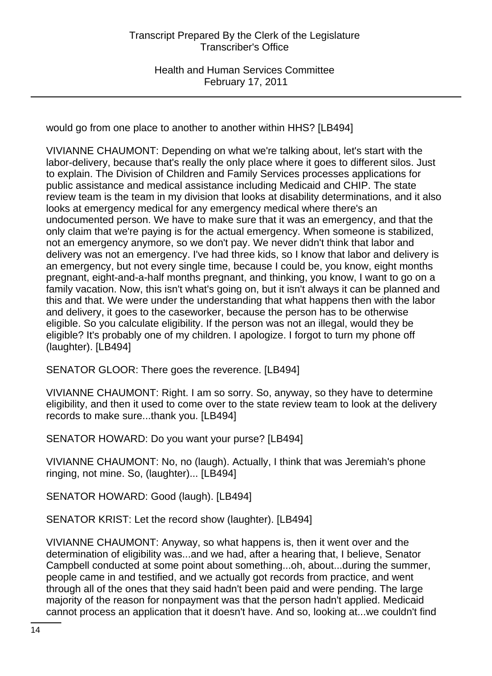would go from one place to another to another within HHS? [LB494]

VIVIANNE CHAUMONT: Depending on what we're talking about, let's start with the labor-delivery, because that's really the only place where it goes to different silos. Just to explain. The Division of Children and Family Services processes applications for public assistance and medical assistance including Medicaid and CHIP. The state review team is the team in my division that looks at disability determinations, and it also looks at emergency medical for any emergency medical where there's an undocumented person. We have to make sure that it was an emergency, and that the only claim that we're paying is for the actual emergency. When someone is stabilized, not an emergency anymore, so we don't pay. We never didn't think that labor and delivery was not an emergency. I've had three kids, so I know that labor and delivery is an emergency, but not every single time, because I could be, you know, eight months pregnant, eight-and-a-half months pregnant, and thinking, you know, I want to go on a family vacation. Now, this isn't what's going on, but it isn't always it can be planned and this and that. We were under the understanding that what happens then with the labor and delivery, it goes to the caseworker, because the person has to be otherwise eligible. So you calculate eligibility. If the person was not an illegal, would they be eligible? It's probably one of my children. I apologize. I forgot to turn my phone off (laughter). [LB494]

SENATOR GLOOR: There goes the reverence. [LB494]

VIVIANNE CHAUMONT: Right. I am so sorry. So, anyway, so they have to determine eligibility, and then it used to come over to the state review team to look at the delivery records to make sure...thank you. [LB494]

SENATOR HOWARD: Do you want your purse? [LB494]

VIVIANNE CHAUMONT: No, no (laugh). Actually, I think that was Jeremiah's phone ringing, not mine. So, (laughter)... [LB494]

SENATOR HOWARD: Good (laugh). [LB494]

SENATOR KRIST: Let the record show (laughter). [LB494]

VIVIANNE CHAUMONT: Anyway, so what happens is, then it went over and the determination of eligibility was...and we had, after a hearing that, I believe, Senator Campbell conducted at some point about something...oh, about...during the summer, people came in and testified, and we actually got records from practice, and went through all of the ones that they said hadn't been paid and were pending. The large majority of the reason for nonpayment was that the person hadn't applied. Medicaid cannot process an application that it doesn't have. And so, looking at...we couldn't find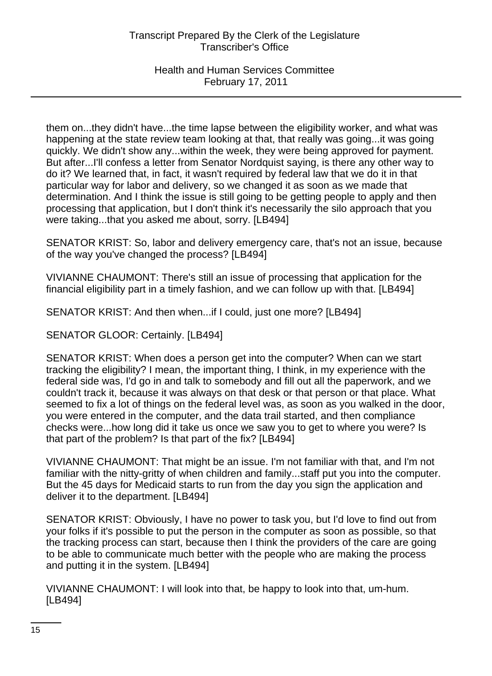Health and Human Services Committee February 17, 2011

them on...they didn't have...the time lapse between the eligibility worker, and what was happening at the state review team looking at that, that really was going...it was going quickly. We didn't show any...within the week, they were being approved for payment. But after...I'll confess a letter from Senator Nordquist saying, is there any other way to do it? We learned that, in fact, it wasn't required by federal law that we do it in that particular way for labor and delivery, so we changed it as soon as we made that determination. And I think the issue is still going to be getting people to apply and then processing that application, but I don't think it's necessarily the silo approach that you were taking...that you asked me about, sorry. [LB494]

SENATOR KRIST: So, labor and delivery emergency care, that's not an issue, because of the way you've changed the process? [LB494]

VIVIANNE CHAUMONT: There's still an issue of processing that application for the financial eligibility part in a timely fashion, and we can follow up with that. [LB494]

SENATOR KRIST: And then when...if I could, just one more? [LB494]

SENATOR GLOOR: Certainly. [LB494]

SENATOR KRIST: When does a person get into the computer? When can we start tracking the eligibility? I mean, the important thing, I think, in my experience with the federal side was, I'd go in and talk to somebody and fill out all the paperwork, and we couldn't track it, because it was always on that desk or that person or that place. What seemed to fix a lot of things on the federal level was, as soon as you walked in the door, you were entered in the computer, and the data trail started, and then compliance checks were...how long did it take us once we saw you to get to where you were? Is that part of the problem? Is that part of the fix? [LB494]

VIVIANNE CHAUMONT: That might be an issue. I'm not familiar with that, and I'm not familiar with the nitty-gritty of when children and family...staff put you into the computer. But the 45 days for Medicaid starts to run from the day you sign the application and deliver it to the department. [LB494]

SENATOR KRIST: Obviously, I have no power to task you, but I'd love to find out from your folks if it's possible to put the person in the computer as soon as possible, so that the tracking process can start, because then I think the providers of the care are going to be able to communicate much better with the people who are making the process and putting it in the system. [LB494]

VIVIANNE CHAUMONT: I will look into that, be happy to look into that, um-hum. [LB494]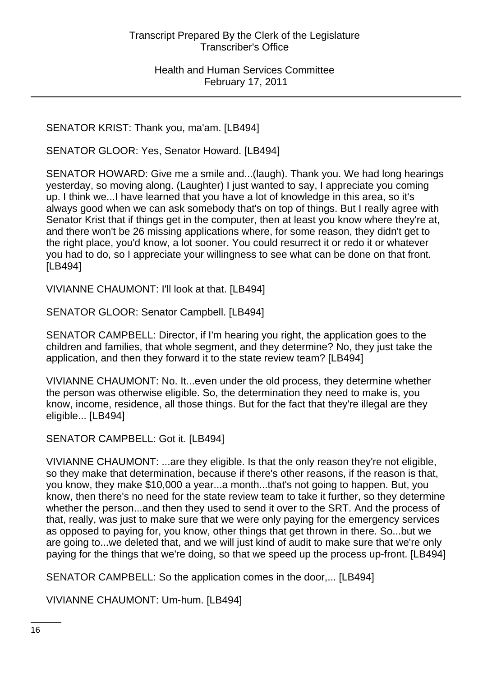SENATOR KRIST: Thank you, ma'am. [LB494]

SENATOR GLOOR: Yes, Senator Howard. [LB494]

SENATOR HOWARD: Give me a smile and...(laugh). Thank you. We had long hearings yesterday, so moving along. (Laughter) I just wanted to say, I appreciate you coming up. I think we...I have learned that you have a lot of knowledge in this area, so it's always good when we can ask somebody that's on top of things. But I really agree with Senator Krist that if things get in the computer, then at least you know where they're at, and there won't be 26 missing applications where, for some reason, they didn't get to the right place, you'd know, a lot sooner. You could resurrect it or redo it or whatever you had to do, so I appreciate your willingness to see what can be done on that front. [LB494]

VIVIANNE CHAUMONT: I'll look at that. [LB494]

SENATOR GLOOR: Senator Campbell. [LB494]

SENATOR CAMPBELL: Director, if I'm hearing you right, the application goes to the children and families, that whole segment, and they determine? No, they just take the application, and then they forward it to the state review team? [LB494]

VIVIANNE CHAUMONT: No. It...even under the old process, they determine whether the person was otherwise eligible. So, the determination they need to make is, you know, income, residence, all those things. But for the fact that they're illegal are they eligible... [LB494]

SENATOR CAMPBELL: Got it. [LB494]

VIVIANNE CHAUMONT: ...are they eligible. Is that the only reason they're not eligible, so they make that determination, because if there's other reasons, if the reason is that, you know, they make \$10,000 a year...a month...that's not going to happen. But, you know, then there's no need for the state review team to take it further, so they determine whether the person...and then they used to send it over to the SRT. And the process of that, really, was just to make sure that we were only paying for the emergency services as opposed to paying for, you know, other things that get thrown in there. So...but we are going to...we deleted that, and we will just kind of audit to make sure that we're only paying for the things that we're doing, so that we speed up the process up-front. [LB494]

SENATOR CAMPBELL: So the application comes in the door,... [LB494]

VIVIANNE CHAUMONT: Um-hum. [LB494]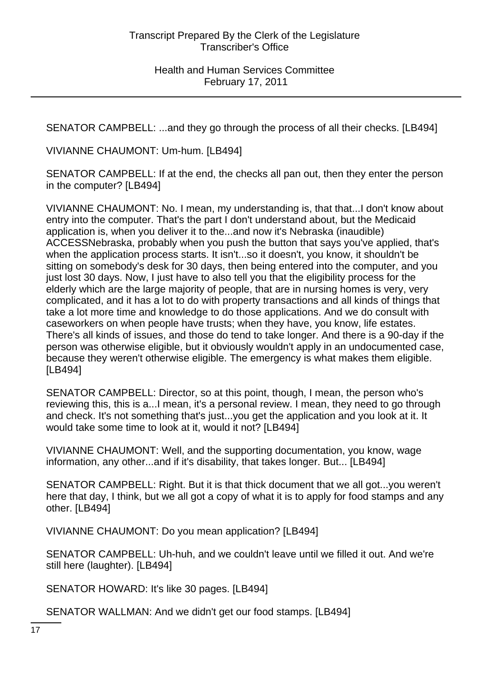SENATOR CAMPBELL: ...and they go through the process of all their checks. [LB494]

VIVIANNE CHAUMONT: Um-hum. [LB494]

SENATOR CAMPBELL: If at the end, the checks all pan out, then they enter the person in the computer? [LB494]

VIVIANNE CHAUMONT: No. I mean, my understanding is, that that...I don't know about entry into the computer. That's the part I don't understand about, but the Medicaid application is, when you deliver it to the...and now it's Nebraska (inaudible) ACCESSNebraska, probably when you push the button that says you've applied, that's when the application process starts. It isn't...so it doesn't, you know, it shouldn't be sitting on somebody's desk for 30 days, then being entered into the computer, and you just lost 30 days. Now, I just have to also tell you that the eligibility process for the elderly which are the large majority of people, that are in nursing homes is very, very complicated, and it has a lot to do with property transactions and all kinds of things that take a lot more time and knowledge to do those applications. And we do consult with caseworkers on when people have trusts; when they have, you know, life estates. There's all kinds of issues, and those do tend to take longer. And there is a 90-day if the person was otherwise eligible, but it obviously wouldn't apply in an undocumented case, because they weren't otherwise eligible. The emergency is what makes them eligible. [LB494]

SENATOR CAMPBELL: Director, so at this point, though, I mean, the person who's reviewing this, this is a...I mean, it's a personal review. I mean, they need to go through and check. It's not something that's just...you get the application and you look at it. It would take some time to look at it, would it not? [LB494]

VIVIANNE CHAUMONT: Well, and the supporting documentation, you know, wage information, any other...and if it's disability, that takes longer. But... [LB494]

SENATOR CAMPBELL: Right. But it is that thick document that we all got...you weren't here that day, I think, but we all got a copy of what it is to apply for food stamps and any other. [LB494]

VIVIANNE CHAUMONT: Do you mean application? [LB494]

SENATOR CAMPBELL: Uh-huh, and we couldn't leave until we filled it out. And we're still here (laughter). [LB494]

SENATOR HOWARD: It's like 30 pages. [LB494]

SENATOR WALLMAN: And we didn't get our food stamps. [LB494]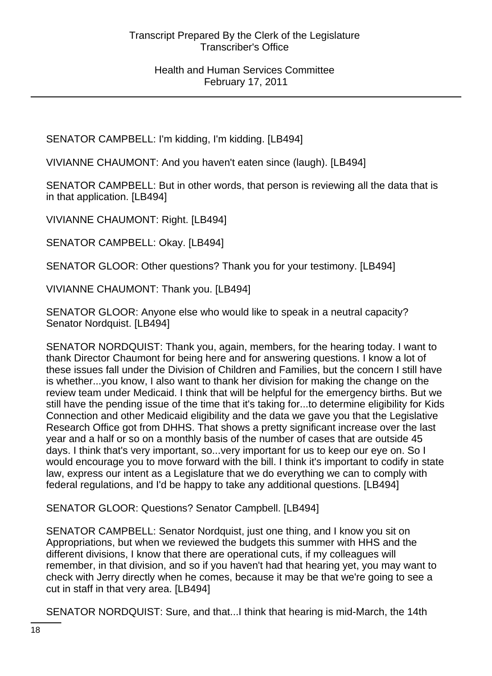SENATOR CAMPBELL: I'm kidding, I'm kidding. [LB494]

VIVIANNE CHAUMONT: And you haven't eaten since (laugh). [LB494]

SENATOR CAMPBELL: But in other words, that person is reviewing all the data that is in that application. [LB494]

VIVIANNE CHAUMONT: Right. [LB494]

SENATOR CAMPBELL: Okay. [LB494]

SENATOR GLOOR: Other questions? Thank you for your testimony. [LB494]

VIVIANNE CHAUMONT: Thank you. [LB494]

SENATOR GLOOR: Anyone else who would like to speak in a neutral capacity? Senator Nordquist. [LB494]

SENATOR NORDQUIST: Thank you, again, members, for the hearing today. I want to thank Director Chaumont for being here and for answering questions. I know a lot of these issues fall under the Division of Children and Families, but the concern I still have is whether...you know, I also want to thank her division for making the change on the review team under Medicaid. I think that will be helpful for the emergency births. But we still have the pending issue of the time that it's taking for...to determine eligibility for Kids Connection and other Medicaid eligibility and the data we gave you that the Legislative Research Office got from DHHS. That shows a pretty significant increase over the last year and a half or so on a monthly basis of the number of cases that are outside 45 days. I think that's very important, so...very important for us to keep our eye on. So I would encourage you to move forward with the bill. I think it's important to codify in state law, express our intent as a Legislature that we do everything we can to comply with federal regulations, and I'd be happy to take any additional questions. [LB494]

SENATOR GLOOR: Questions? Senator Campbell. [LB494]

SENATOR CAMPBELL: Senator Nordquist, just one thing, and I know you sit on Appropriations, but when we reviewed the budgets this summer with HHS and the different divisions, I know that there are operational cuts, if my colleagues will remember, in that division, and so if you haven't had that hearing yet, you may want to check with Jerry directly when he comes, because it may be that we're going to see a cut in staff in that very area. [LB494]

SENATOR NORDQUIST: Sure, and that...I think that hearing is mid-March, the 14th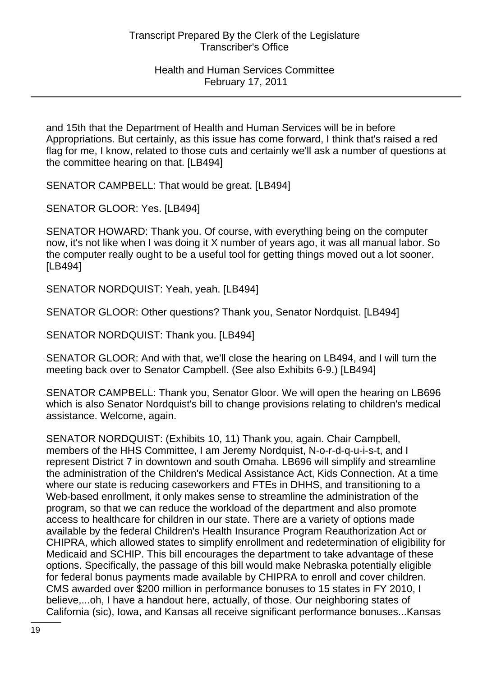and 15th that the Department of Health and Human Services will be in before Appropriations. But certainly, as this issue has come forward, I think that's raised a red flag for me, I know, related to those cuts and certainly we'll ask a number of questions at the committee hearing on that. [LB494]

SENATOR CAMPBELL: That would be great. [LB494]

SENATOR GLOOR: Yes. [LB494]

SENATOR HOWARD: Thank you. Of course, with everything being on the computer now, it's not like when I was doing it X number of years ago, it was all manual labor. So the computer really ought to be a useful tool for getting things moved out a lot sooner. [LB494]

SENATOR NORDQUIST: Yeah, yeah. [LB494]

SENATOR GLOOR: Other questions? Thank you, Senator Nordquist. [LB494]

SENATOR NORDQUIST: Thank you. [LB494]

SENATOR GLOOR: And with that, we'll close the hearing on LB494, and I will turn the meeting back over to Senator Campbell. (See also Exhibits 6-9.) [LB494]

SENATOR CAMPBELL: Thank you, Senator Gloor. We will open the hearing on LB696 which is also Senator Nordquist's bill to change provisions relating to children's medical assistance. Welcome, again.

SENATOR NORDQUIST: (Exhibits 10, 11) Thank you, again. Chair Campbell, members of the HHS Committee, I am Jeremy Nordquist, N-o-r-d-q-u-i-s-t, and I represent District 7 in downtown and south Omaha. LB696 will simplify and streamline the administration of the Children's Medical Assistance Act, Kids Connection. At a time where our state is reducing caseworkers and FTEs in DHHS, and transitioning to a Web-based enrollment, it only makes sense to streamline the administration of the program, so that we can reduce the workload of the department and also promote access to healthcare for children in our state. There are a variety of options made available by the federal Children's Health Insurance Program Reauthorization Act or CHIPRA, which allowed states to simplify enrollment and redetermination of eligibility for Medicaid and SCHIP. This bill encourages the department to take advantage of these options. Specifically, the passage of this bill would make Nebraska potentially eligible for federal bonus payments made available by CHIPRA to enroll and cover children. CMS awarded over \$200 million in performance bonuses to 15 states in FY 2010, I believe,...oh, I have a handout here, actually, of those. Our neighboring states of California (sic), Iowa, and Kansas all receive significant performance bonuses...Kansas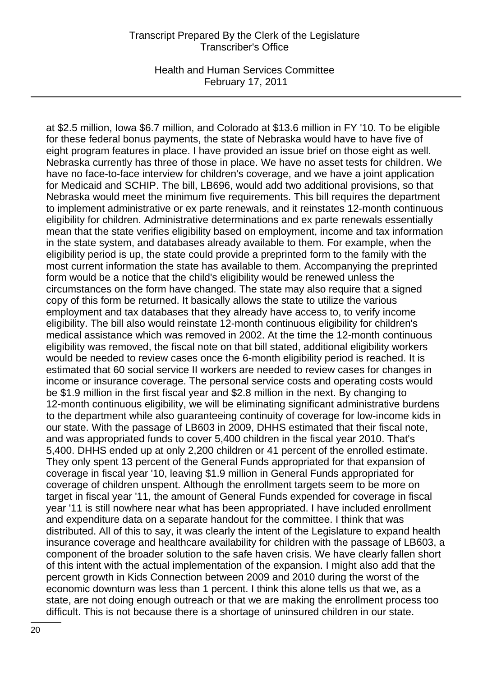Health and Human Services Committee February 17, 2011

at \$2.5 million, Iowa \$6.7 million, and Colorado at \$13.6 million in FY '10. To be eligible for these federal bonus payments, the state of Nebraska would have to have five of eight program features in place. I have provided an issue brief on those eight as well. Nebraska currently has three of those in place. We have no asset tests for children. We have no face-to-face interview for children's coverage, and we have a joint application for Medicaid and SCHIP. The bill, LB696, would add two additional provisions, so that Nebraska would meet the minimum five requirements. This bill requires the department to implement administrative or ex parte renewals, and it reinstates 12-month continuous eligibility for children. Administrative determinations and ex parte renewals essentially mean that the state verifies eligibility based on employment, income and tax information in the state system, and databases already available to them. For example, when the eligibility period is up, the state could provide a preprinted form to the family with the most current information the state has available to them. Accompanying the preprinted form would be a notice that the child's eligibility would be renewed unless the circumstances on the form have changed. The state may also require that a signed copy of this form be returned. It basically allows the state to utilize the various employment and tax databases that they already have access to, to verify income eligibility. The bill also would reinstate 12-month continuous eligibility for children's medical assistance which was removed in 2002. At the time the 12-month continuous eligibility was removed, the fiscal note on that bill stated, additional eligibility workers would be needed to review cases once the 6-month eligibility period is reached. It is estimated that 60 social service II workers are needed to review cases for changes in income or insurance coverage. The personal service costs and operating costs would be \$1.9 million in the first fiscal year and \$2.8 million in the next. By changing to 12-month continuous eligibility, we will be eliminating significant administrative burdens to the department while also guaranteeing continuity of coverage for low-income kids in our state. With the passage of LB603 in 2009, DHHS estimated that their fiscal note, and was appropriated funds to cover 5,400 children in the fiscal year 2010. That's 5,400. DHHS ended up at only 2,200 children or 41 percent of the enrolled estimate. They only spent 13 percent of the General Funds appropriated for that expansion of coverage in fiscal year '10, leaving \$1.9 million in General Funds appropriated for coverage of children unspent. Although the enrollment targets seem to be more on target in fiscal year '11, the amount of General Funds expended for coverage in fiscal year '11 is still nowhere near what has been appropriated. I have included enrollment and expenditure data on a separate handout for the committee. I think that was distributed. All of this to say, it was clearly the intent of the Legislature to expand health insurance coverage and healthcare availability for children with the passage of LB603, a component of the broader solution to the safe haven crisis. We have clearly fallen short of this intent with the actual implementation of the expansion. I might also add that the percent growth in Kids Connection between 2009 and 2010 during the worst of the economic downturn was less than 1 percent. I think this alone tells us that we, as a state, are not doing enough outreach or that we are making the enrollment process too difficult. This is not because there is a shortage of uninsured children in our state.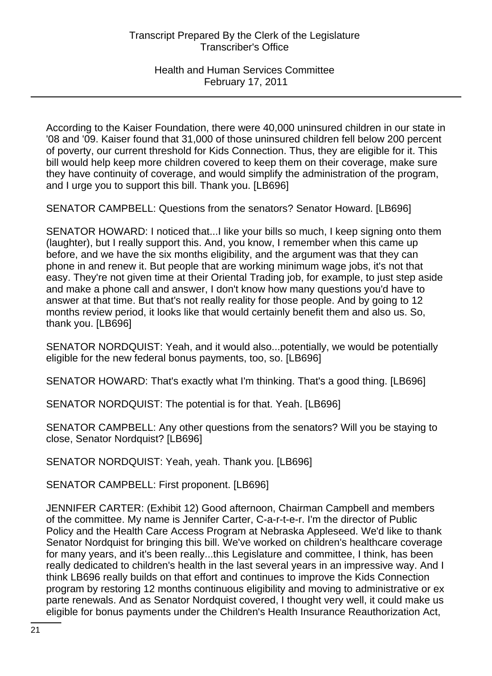According to the Kaiser Foundation, there were 40,000 uninsured children in our state in '08 and '09. Kaiser found that 31,000 of those uninsured children fell below 200 percent of poverty, our current threshold for Kids Connection. Thus, they are eligible for it. This bill would help keep more children covered to keep them on their coverage, make sure they have continuity of coverage, and would simplify the administration of the program, and I urge you to support this bill. Thank you. [LB696]

SENATOR CAMPBELL: Questions from the senators? Senator Howard. [LB696]

SENATOR HOWARD: I noticed that...I like your bills so much, I keep signing onto them (laughter), but I really support this. And, you know, I remember when this came up before, and we have the six months eligibility, and the argument was that they can phone in and renew it. But people that are working minimum wage jobs, it's not that easy. They're not given time at their Oriental Trading job, for example, to just step aside and make a phone call and answer, I don't know how many questions you'd have to answer at that time. But that's not really reality for those people. And by going to 12 months review period, it looks like that would certainly benefit them and also us. So, thank you. [LB696]

SENATOR NORDQUIST: Yeah, and it would also...potentially, we would be potentially eligible for the new federal bonus payments, too, so. [LB696]

SENATOR HOWARD: That's exactly what I'm thinking. That's a good thing. [LB696]

SENATOR NORDQUIST: The potential is for that. Yeah. [LB696]

SENATOR CAMPBELL: Any other questions from the senators? Will you be staying to close, Senator Nordquist? [LB696]

SENATOR NORDQUIST: Yeah, yeah. Thank you. [LB696]

SENATOR CAMPBELL: First proponent. [LB696]

JENNIFER CARTER: (Exhibit 12) Good afternoon, Chairman Campbell and members of the committee. My name is Jennifer Carter, C-a-r-t-e-r. I'm the director of Public Policy and the Health Care Access Program at Nebraska Appleseed. We'd like to thank Senator Nordquist for bringing this bill. We've worked on children's healthcare coverage for many years, and it's been really...this Legislature and committee, I think, has been really dedicated to children's health in the last several years in an impressive way. And I think LB696 really builds on that effort and continues to improve the Kids Connection program by restoring 12 months continuous eligibility and moving to administrative or ex parte renewals. And as Senator Nordquist covered, I thought very well, it could make us eligible for bonus payments under the Children's Health Insurance Reauthorization Act,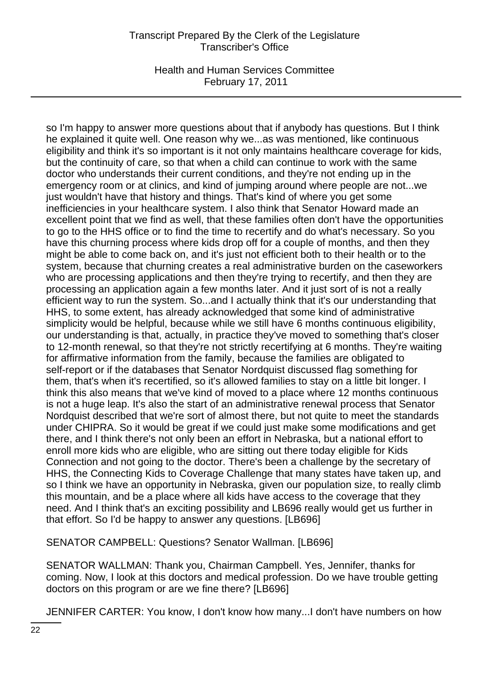Health and Human Services Committee February 17, 2011

so I'm happy to answer more questions about that if anybody has questions. But I think he explained it quite well. One reason why we...as was mentioned, like continuous eligibility and think it's so important is it not only maintains healthcare coverage for kids, but the continuity of care, so that when a child can continue to work with the same doctor who understands their current conditions, and they're not ending up in the emergency room or at clinics, and kind of jumping around where people are not...we just wouldn't have that history and things. That's kind of where you get some inefficiencies in your healthcare system. I also think that Senator Howard made an excellent point that we find as well, that these families often don't have the opportunities to go to the HHS office or to find the time to recertify and do what's necessary. So you have this churning process where kids drop off for a couple of months, and then they might be able to come back on, and it's just not efficient both to their health or to the system, because that churning creates a real administrative burden on the caseworkers who are processing applications and then they're trying to recertify, and then they are processing an application again a few months later. And it just sort of is not a really efficient way to run the system. So...and I actually think that it's our understanding that HHS, to some extent, has already acknowledged that some kind of administrative simplicity would be helpful, because while we still have 6 months continuous eligibility, our understanding is that, actually, in practice they've moved to something that's closer to 12-month renewal, so that they're not strictly recertifying at 6 months. They're waiting for affirmative information from the family, because the families are obligated to self-report or if the databases that Senator Nordquist discussed flag something for them, that's when it's recertified, so it's allowed families to stay on a little bit longer. I think this also means that we've kind of moved to a place where 12 months continuous is not a huge leap. It's also the start of an administrative renewal process that Senator Nordquist described that we're sort of almost there, but not quite to meet the standards under CHIPRA. So it would be great if we could just make some modifications and get there, and I think there's not only been an effort in Nebraska, but a national effort to enroll more kids who are eligible, who are sitting out there today eligible for Kids Connection and not going to the doctor. There's been a challenge by the secretary of HHS, the Connecting Kids to Coverage Challenge that many states have taken up, and so I think we have an opportunity in Nebraska, given our population size, to really climb this mountain, and be a place where all kids have access to the coverage that they need. And I think that's an exciting possibility and LB696 really would get us further in that effort. So I'd be happy to answer any questions. [LB696]

SENATOR CAMPBELL: Questions? Senator Wallman. [LB696]

SENATOR WALLMAN: Thank you, Chairman Campbell. Yes, Jennifer, thanks for coming. Now, I look at this doctors and medical profession. Do we have trouble getting doctors on this program or are we fine there? [LB696]

JENNIFER CARTER: You know, I don't know how many...I don't have numbers on how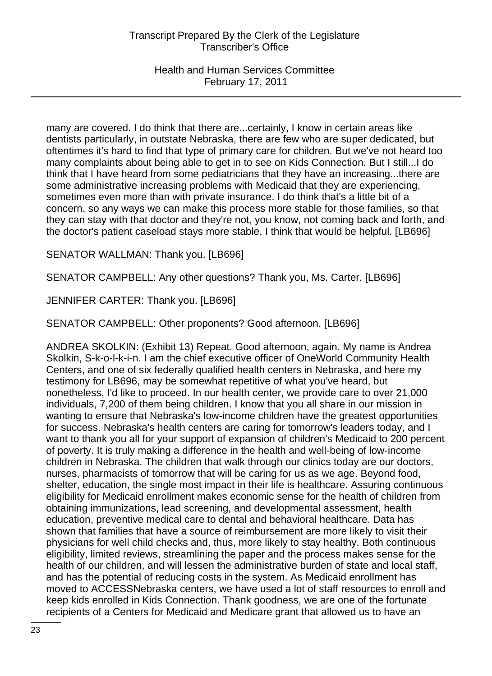Health and Human Services Committee February 17, 2011

many are covered. I do think that there are...certainly, I know in certain areas like dentists particularly, in outstate Nebraska, there are few who are super dedicated, but oftentimes it's hard to find that type of primary care for children. But we've not heard too many complaints about being able to get in to see on Kids Connection. But I still...I do think that I have heard from some pediatricians that they have an increasing...there are some administrative increasing problems with Medicaid that they are experiencing, sometimes even more than with private insurance. I do think that's a little bit of a concern, so any ways we can make this process more stable for those families, so that they can stay with that doctor and they're not, you know, not coming back and forth, and the doctor's patient caseload stays more stable, I think that would be helpful. [LB696]

SENATOR WALLMAN: Thank you. [LB696]

SENATOR CAMPBELL: Any other questions? Thank you, Ms. Carter. [LB696]

JENNIFER CARTER: Thank you. [LB696]

SENATOR CAMPBELL: Other proponents? Good afternoon. [LB696]

ANDREA SKOLKIN: (Exhibit 13) Repeat. Good afternoon, again. My name is Andrea Skolkin, S-k-o-l-k-i-n. I am the chief executive officer of OneWorld Community Health Centers, and one of six federally qualified health centers in Nebraska, and here my testimony for LB696, may be somewhat repetitive of what you've heard, but nonetheless, I'd like to proceed. In our health center, we provide care to over 21,000 individuals, 7,200 of them being children. I know that you all share in our mission in wanting to ensure that Nebraska's low-income children have the greatest opportunities for success. Nebraska's health centers are caring for tomorrow's leaders today, and I want to thank you all for your support of expansion of children's Medicaid to 200 percent of poverty. It is truly making a difference in the health and well-being of low-income children in Nebraska. The children that walk through our clinics today are our doctors, nurses, pharmacists of tomorrow that will be caring for us as we age. Beyond food, shelter, education, the single most impact in their life is healthcare. Assuring continuous eligibility for Medicaid enrollment makes economic sense for the health of children from obtaining immunizations, lead screening, and developmental assessment, health education, preventive medical care to dental and behavioral healthcare. Data has shown that families that have a source of reimbursement are more likely to visit their physicians for well child checks and, thus, more likely to stay healthy. Both continuous eligibility, limited reviews, streamlining the paper and the process makes sense for the health of our children, and will lessen the administrative burden of state and local staff, and has the potential of reducing costs in the system. As Medicaid enrollment has moved to ACCESSNebraska centers, we have used a lot of staff resources to enroll and keep kids enrolled in Kids Connection. Thank goodness, we are one of the fortunate recipients of a Centers for Medicaid and Medicare grant that allowed us to have an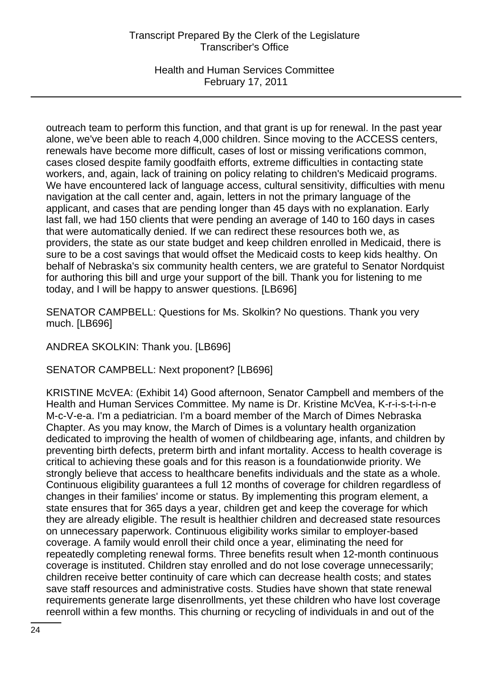Health and Human Services Committee February 17, 2011

outreach team to perform this function, and that grant is up for renewal. In the past year alone, we've been able to reach 4,000 children. Since moving to the ACCESS centers, renewals have become more difficult, cases of lost or missing verifications common, cases closed despite family goodfaith efforts, extreme difficulties in contacting state workers, and, again, lack of training on policy relating to children's Medicaid programs. We have encountered lack of language access, cultural sensitivity, difficulties with menu navigation at the call center and, again, letters in not the primary language of the applicant, and cases that are pending longer than 45 days with no explanation. Early last fall, we had 150 clients that were pending an average of 140 to 160 days in cases that were automatically denied. If we can redirect these resources both we, as providers, the state as our state budget and keep children enrolled in Medicaid, there is sure to be a cost savings that would offset the Medicaid costs to keep kids healthy. On behalf of Nebraska's six community health centers, we are grateful to Senator Nordquist for authoring this bill and urge your support of the bill. Thank you for listening to me today, and I will be happy to answer questions. [LB696]

SENATOR CAMPBELL: Questions for Ms. Skolkin? No questions. Thank you very much. [LB696]

ANDREA SKOLKIN: Thank you. [LB696]

SENATOR CAMPBELL: Next proponent? [LB696]

KRISTINE McVEA: (Exhibit 14) Good afternoon, Senator Campbell and members of the Health and Human Services Committee. My name is Dr. Kristine McVea, K-r-i-s-t-i-n-e M-c-V-e-a. I'm a pediatrician. I'm a board member of the March of Dimes Nebraska Chapter. As you may know, the March of Dimes is a voluntary health organization dedicated to improving the health of women of childbearing age, infants, and children by preventing birth defects, preterm birth and infant mortality. Access to health coverage is critical to achieving these goals and for this reason is a foundationwide priority. We strongly believe that access to healthcare benefits individuals and the state as a whole. Continuous eligibility guarantees a full 12 months of coverage for children regardless of changes in their families' income or status. By implementing this program element, a state ensures that for 365 days a year, children get and keep the coverage for which they are already eligible. The result is healthier children and decreased state resources on unnecessary paperwork. Continuous eligibility works similar to employer-based coverage. A family would enroll their child once a year, eliminating the need for repeatedly completing renewal forms. Three benefits result when 12-month continuous coverage is instituted. Children stay enrolled and do not lose coverage unnecessarily; children receive better continuity of care which can decrease health costs; and states save staff resources and administrative costs. Studies have shown that state renewal requirements generate large disenrollments, yet these children who have lost coverage reenroll within a few months. This churning or recycling of individuals in and out of the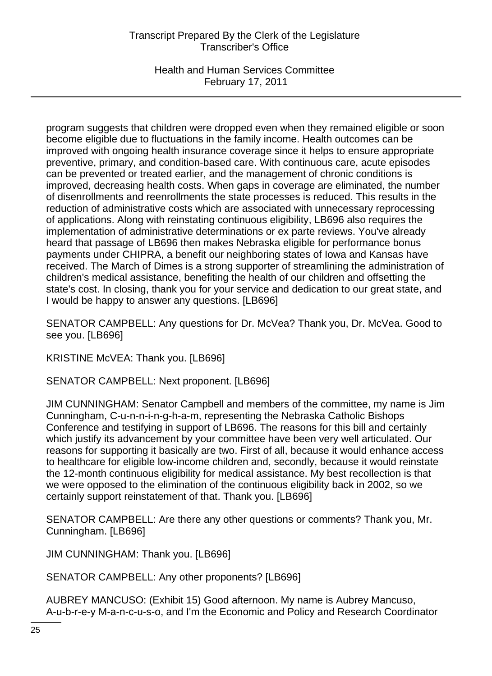Health and Human Services Committee February 17, 2011

program suggests that children were dropped even when they remained eligible or soon become eligible due to fluctuations in the family income. Health outcomes can be improved with ongoing health insurance coverage since it helps to ensure appropriate preventive, primary, and condition-based care. With continuous care, acute episodes can be prevented or treated earlier, and the management of chronic conditions is improved, decreasing health costs. When gaps in coverage are eliminated, the number of disenrollments and reenrollments the state processes is reduced. This results in the reduction of administrative costs which are associated with unnecessary reprocessing of applications. Along with reinstating continuous eligibility, LB696 also requires the implementation of administrative determinations or ex parte reviews. You've already heard that passage of LB696 then makes Nebraska eligible for performance bonus payments under CHIPRA, a benefit our neighboring states of Iowa and Kansas have received. The March of Dimes is a strong supporter of streamlining the administration of children's medical assistance, benefiting the health of our children and offsetting the state's cost. In closing, thank you for your service and dedication to our great state, and I would be happy to answer any questions. [LB696]

SENATOR CAMPBELL: Any questions for Dr. McVea? Thank you, Dr. McVea. Good to see you. [LB696]

KRISTINE McVEA: Thank you. [LB696]

SENATOR CAMPBELL: Next proponent. [LB696]

JIM CUNNINGHAM: Senator Campbell and members of the committee, my name is Jim Cunningham, C-u-n-n-i-n-g-h-a-m, representing the Nebraska Catholic Bishops Conference and testifying in support of LB696. The reasons for this bill and certainly which justify its advancement by your committee have been very well articulated. Our reasons for supporting it basically are two. First of all, because it would enhance access to healthcare for eligible low-income children and, secondly, because it would reinstate the 12-month continuous eligibility for medical assistance. My best recollection is that we were opposed to the elimination of the continuous eligibility back in 2002, so we certainly support reinstatement of that. Thank you. [LB696]

SENATOR CAMPBELL: Are there any other questions or comments? Thank you, Mr. Cunningham. [LB696]

JIM CUNNINGHAM: Thank you. [LB696]

SENATOR CAMPBELL: Any other proponents? [LB696]

AUBREY MANCUSO: (Exhibit 15) Good afternoon. My name is Aubrey Mancuso, A-u-b-r-e-y M-a-n-c-u-s-o, and I'm the Economic and Policy and Research Coordinator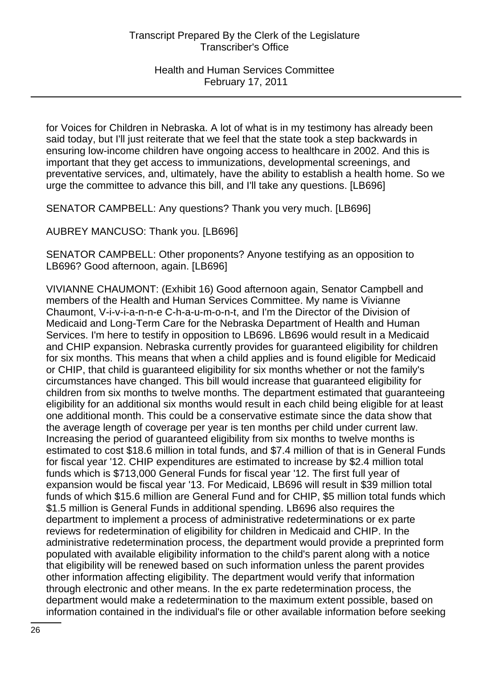for Voices for Children in Nebraska. A lot of what is in my testimony has already been said today, but I'll just reiterate that we feel that the state took a step backwards in ensuring low-income children have ongoing access to healthcare in 2002. And this is important that they get access to immunizations, developmental screenings, and preventative services, and, ultimately, have the ability to establish a health home. So we urge the committee to advance this bill, and I'll take any questions. [LB696]

SENATOR CAMPBELL: Any questions? Thank you very much. [LB696]

AUBREY MANCUSO: Thank you. [LB696]

SENATOR CAMPBELL: Other proponents? Anyone testifying as an opposition to LB696? Good afternoon, again. [LB696]

VIVIANNE CHAUMONT: (Exhibit 16) Good afternoon again, Senator Campbell and members of the Health and Human Services Committee. My name is Vivianne Chaumont, V-i-v-i-a-n-n-e C-h-a-u-m-o-n-t, and I'm the Director of the Division of Medicaid and Long-Term Care for the Nebraska Department of Health and Human Services. I'm here to testify in opposition to LB696. LB696 would result in a Medicaid and CHIP expansion. Nebraska currently provides for guaranteed eligibility for children for six months. This means that when a child applies and is found eligible for Medicaid or CHIP, that child is guaranteed eligibility for six months whether or not the family's circumstances have changed. This bill would increase that guaranteed eligibility for children from six months to twelve months. The department estimated that guaranteeing eligibility for an additional six months would result in each child being eligible for at least one additional month. This could be a conservative estimate since the data show that the average length of coverage per year is ten months per child under current law. Increasing the period of guaranteed eligibility from six months to twelve months is estimated to cost \$18.6 million in total funds, and \$7.4 million of that is in General Funds for fiscal year '12. CHIP expenditures are estimated to increase by \$2.4 million total funds which is \$713,000 General Funds for fiscal year '12. The first full year of expansion would be fiscal year '13. For Medicaid, LB696 will result in \$39 million total funds of which \$15.6 million are General Fund and for CHIP, \$5 million total funds which \$1.5 million is General Funds in additional spending. LB696 also requires the department to implement a process of administrative redeterminations or ex parte reviews for redetermination of eligibility for children in Medicaid and CHIP. In the administrative redetermination process, the department would provide a preprinted form populated with available eligibility information to the child's parent along with a notice that eligibility will be renewed based on such information unless the parent provides other information affecting eligibility. The department would verify that information through electronic and other means. In the ex parte redetermination process, the department would make a redetermination to the maximum extent possible, based on information contained in the individual's file or other available information before seeking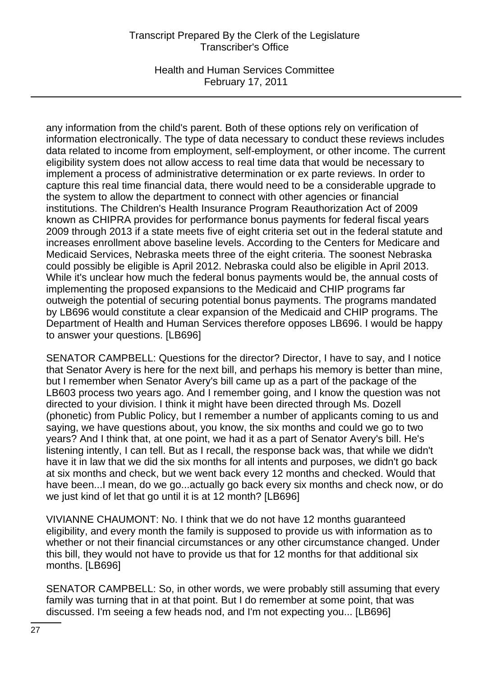Health and Human Services Committee February 17, 2011

any information from the child's parent. Both of these options rely on verification of information electronically. The type of data necessary to conduct these reviews includes data related to income from employment, self-employment, or other income. The current eligibility system does not allow access to real time data that would be necessary to implement a process of administrative determination or ex parte reviews. In order to capture this real time financial data, there would need to be a considerable upgrade to the system to allow the department to connect with other agencies or financial institutions. The Children's Health Insurance Program Reauthorization Act of 2009 known as CHIPRA provides for performance bonus payments for federal fiscal years 2009 through 2013 if a state meets five of eight criteria set out in the federal statute and increases enrollment above baseline levels. According to the Centers for Medicare and Medicaid Services, Nebraska meets three of the eight criteria. The soonest Nebraska could possibly be eligible is April 2012. Nebraska could also be eligible in April 2013. While it's unclear how much the federal bonus payments would be, the annual costs of implementing the proposed expansions to the Medicaid and CHIP programs far outweigh the potential of securing potential bonus payments. The programs mandated by LB696 would constitute a clear expansion of the Medicaid and CHIP programs. The Department of Health and Human Services therefore opposes LB696. I would be happy to answer your questions. [LB696]

SENATOR CAMPBELL: Questions for the director? Director, I have to say, and I notice that Senator Avery is here for the next bill, and perhaps his memory is better than mine, but I remember when Senator Avery's bill came up as a part of the package of the LB603 process two years ago. And I remember going, and I know the question was not directed to your division. I think it might have been directed through Ms. Dozell (phonetic) from Public Policy, but I remember a number of applicants coming to us and saying, we have questions about, you know, the six months and could we go to two years? And I think that, at one point, we had it as a part of Senator Avery's bill. He's listening intently, I can tell. But as I recall, the response back was, that while we didn't have it in law that we did the six months for all intents and purposes, we didn't go back at six months and check, but we went back every 12 months and checked. Would that have been...I mean, do we go...actually go back every six months and check now, or do we just kind of let that go until it is at 12 month? [LB696]

VIVIANNE CHAUMONT: No. I think that we do not have 12 months guaranteed eligibility, and every month the family is supposed to provide us with information as to whether or not their financial circumstances or any other circumstance changed. Under this bill, they would not have to provide us that for 12 months for that additional six months. [LB696]

SENATOR CAMPBELL: So, in other words, we were probably still assuming that every family was turning that in at that point. But I do remember at some point, that was discussed. I'm seeing a few heads nod, and I'm not expecting you... [LB696]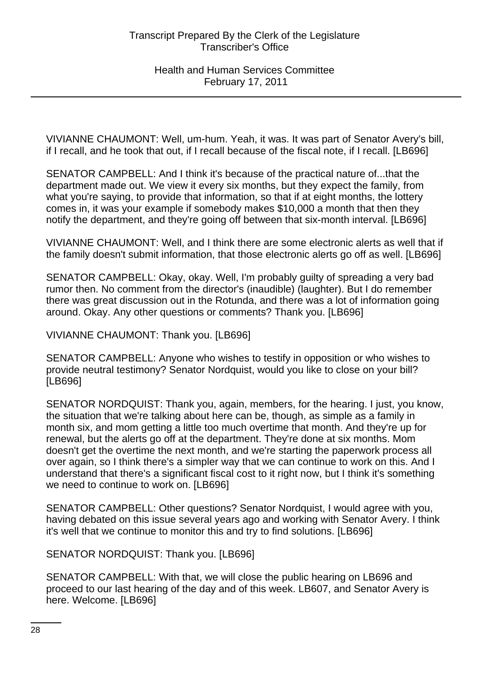VIVIANNE CHAUMONT: Well, um-hum. Yeah, it was. It was part of Senator Avery's bill, if I recall, and he took that out, if I recall because of the fiscal note, if I recall. [LB696]

SENATOR CAMPBELL: And I think it's because of the practical nature of...that the department made out. We view it every six months, but they expect the family, from what you're saying, to provide that information, so that if at eight months, the lottery comes in, it was your example if somebody makes \$10,000 a month that then they notify the department, and they're going off between that six-month interval. [LB696]

VIVIANNE CHAUMONT: Well, and I think there are some electronic alerts as well that if the family doesn't submit information, that those electronic alerts go off as well. [LB696]

SENATOR CAMPBELL: Okay, okay. Well, I'm probably guilty of spreading a very bad rumor then. No comment from the director's (inaudible) (laughter). But I do remember there was great discussion out in the Rotunda, and there was a lot of information going around. Okay. Any other questions or comments? Thank you. [LB696]

VIVIANNE CHAUMONT: Thank you. [LB696]

SENATOR CAMPBELL: Anyone who wishes to testify in opposition or who wishes to provide neutral testimony? Senator Nordquist, would you like to close on your bill? [LB696]

SENATOR NORDQUIST: Thank you, again, members, for the hearing. I just, you know, the situation that we're talking about here can be, though, as simple as a family in month six, and mom getting a little too much overtime that month. And they're up for renewal, but the alerts go off at the department. They're done at six months. Mom doesn't get the overtime the next month, and we're starting the paperwork process all over again, so I think there's a simpler way that we can continue to work on this. And I understand that there's a significant fiscal cost to it right now, but I think it's something we need to continue to work on. [LB696]

SENATOR CAMPBELL: Other questions? Senator Nordquist, I would agree with you, having debated on this issue several years ago and working with Senator Avery. I think it's well that we continue to monitor this and try to find solutions. [LB696]

SENATOR NORDQUIST: Thank you. [LB696]

SENATOR CAMPBELL: With that, we will close the public hearing on LB696 and proceed to our last hearing of the day and of this week. LB607, and Senator Avery is here. Welcome. [LB696]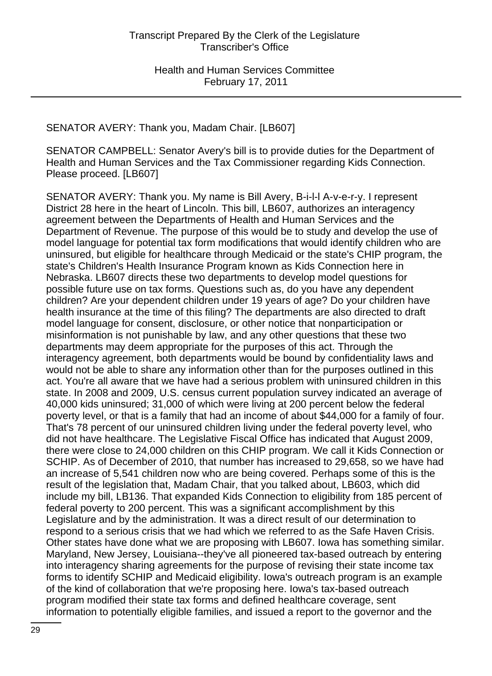SENATOR AVERY: Thank you, Madam Chair. [LB607]

SENATOR CAMPBELL: Senator Avery's bill is to provide duties for the Department of Health and Human Services and the Tax Commissioner regarding Kids Connection. Please proceed. [LB607]

SENATOR AVERY: Thank you. My name is Bill Avery, B-i-l-l A-v-e-r-y. I represent District 28 here in the heart of Lincoln. This bill, LB607, authorizes an interagency agreement between the Departments of Health and Human Services and the Department of Revenue. The purpose of this would be to study and develop the use of model language for potential tax form modifications that would identify children who are uninsured, but eligible for healthcare through Medicaid or the state's CHIP program, the state's Children's Health Insurance Program known as Kids Connection here in Nebraska. LB607 directs these two departments to develop model questions for possible future use on tax forms. Questions such as, do you have any dependent children? Are your dependent children under 19 years of age? Do your children have health insurance at the time of this filing? The departments are also directed to draft model language for consent, disclosure, or other notice that nonparticipation or misinformation is not punishable by law, and any other questions that these two departments may deem appropriate for the purposes of this act. Through the interagency agreement, both departments would be bound by confidentiality laws and would not be able to share any information other than for the purposes outlined in this act. You're all aware that we have had a serious problem with uninsured children in this state. In 2008 and 2009, U.S. census current population survey indicated an average of 40,000 kids uninsured; 31,000 of which were living at 200 percent below the federal poverty level, or that is a family that had an income of about \$44,000 for a family of four. That's 78 percent of our uninsured children living under the federal poverty level, who did not have healthcare. The Legislative Fiscal Office has indicated that August 2009, there were close to 24,000 children on this CHIP program. We call it Kids Connection or SCHIP. As of December of 2010, that number has increased to 29,658, so we have had an increase of 5,541 children now who are being covered. Perhaps some of this is the result of the legislation that, Madam Chair, that you talked about, LB603, which did include my bill, LB136. That expanded Kids Connection to eligibility from 185 percent of federal poverty to 200 percent. This was a significant accomplishment by this Legislature and by the administration. It was a direct result of our determination to respond to a serious crisis that we had which we referred to as the Safe Haven Crisis. Other states have done what we are proposing with LB607. Iowa has something similar. Maryland, New Jersey, Louisiana--they've all pioneered tax-based outreach by entering into interagency sharing agreements for the purpose of revising their state income tax forms to identify SCHIP and Medicaid eligibility. Iowa's outreach program is an example of the kind of collaboration that we're proposing here. Iowa's tax-based outreach program modified their state tax forms and defined healthcare coverage, sent information to potentially eligible families, and issued a report to the governor and the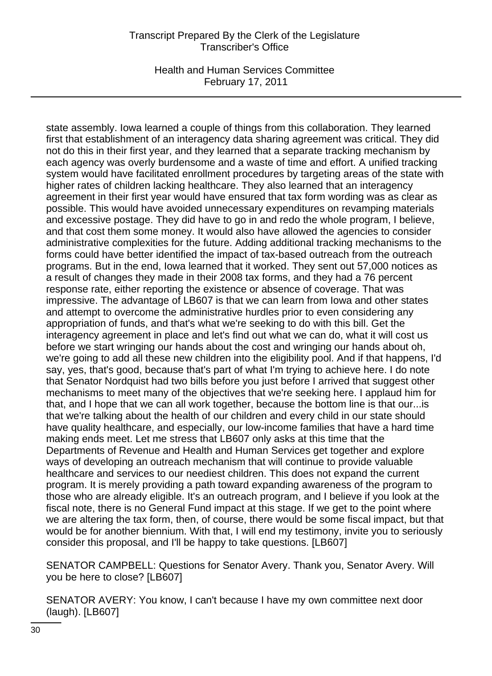Health and Human Services Committee February 17, 2011

state assembly. Iowa learned a couple of things from this collaboration. They learned first that establishment of an interagency data sharing agreement was critical. They did not do this in their first year, and they learned that a separate tracking mechanism by each agency was overly burdensome and a waste of time and effort. A unified tracking system would have facilitated enrollment procedures by targeting areas of the state with higher rates of children lacking healthcare. They also learned that an interagency agreement in their first year would have ensured that tax form wording was as clear as possible. This would have avoided unnecessary expenditures on revamping materials and excessive postage. They did have to go in and redo the whole program, I believe, and that cost them some money. It would also have allowed the agencies to consider administrative complexities for the future. Adding additional tracking mechanisms to the forms could have better identified the impact of tax-based outreach from the outreach programs. But in the end, Iowa learned that it worked. They sent out 57,000 notices as a result of changes they made in their 2008 tax forms, and they had a 76 percent response rate, either reporting the existence or absence of coverage. That was impressive. The advantage of LB607 is that we can learn from Iowa and other states and attempt to overcome the administrative hurdles prior to even considering any appropriation of funds, and that's what we're seeking to do with this bill. Get the interagency agreement in place and let's find out what we can do, what it will cost us before we start wringing our hands about the cost and wringing our hands about oh, we're going to add all these new children into the eligibility pool. And if that happens, I'd say, yes, that's good, because that's part of what I'm trying to achieve here. I do note that Senator Nordquist had two bills before you just before I arrived that suggest other mechanisms to meet many of the objectives that we're seeking here. I applaud him for that, and I hope that we can all work together, because the bottom line is that our...is that we're talking about the health of our children and every child in our state should have quality healthcare, and especially, our low-income families that have a hard time making ends meet. Let me stress that LB607 only asks at this time that the Departments of Revenue and Health and Human Services get together and explore ways of developing an outreach mechanism that will continue to provide valuable healthcare and services to our neediest children. This does not expand the current program. It is merely providing a path toward expanding awareness of the program to those who are already eligible. It's an outreach program, and I believe if you look at the fiscal note, there is no General Fund impact at this stage. If we get to the point where we are altering the tax form, then, of course, there would be some fiscal impact, but that would be for another biennium. With that, I will end my testimony, invite you to seriously consider this proposal, and I'll be happy to take questions. [LB607]

SENATOR CAMPBELL: Questions for Senator Avery. Thank you, Senator Avery. Will you be here to close? [LB607]

SENATOR AVERY: You know, I can't because I have my own committee next door (laugh). [LB607]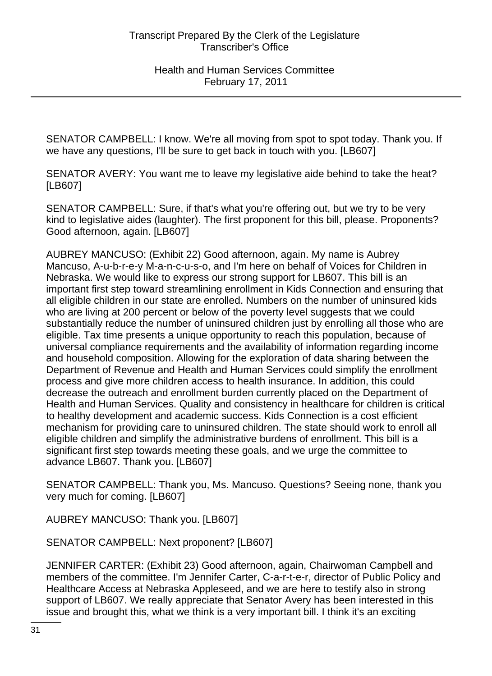SENATOR CAMPBELL: I know. We're all moving from spot to spot today. Thank you. If we have any questions, I'll be sure to get back in touch with you. [LB607]

SENATOR AVERY: You want me to leave my legislative aide behind to take the heat? [LB607]

SENATOR CAMPBELL: Sure, if that's what you're offering out, but we try to be very kind to legislative aides (laughter). The first proponent for this bill, please. Proponents? Good afternoon, again. [LB607]

AUBREY MANCUSO: (Exhibit 22) Good afternoon, again. My name is Aubrey Mancuso, A-u-b-r-e-y M-a-n-c-u-s-o, and I'm here on behalf of Voices for Children in Nebraska. We would like to express our strong support for LB607. This bill is an important first step toward streamlining enrollment in Kids Connection and ensuring that all eligible children in our state are enrolled. Numbers on the number of uninsured kids who are living at 200 percent or below of the poverty level suggests that we could substantially reduce the number of uninsured children just by enrolling all those who are eligible. Tax time presents a unique opportunity to reach this population, because of universal compliance requirements and the availability of information regarding income and household composition. Allowing for the exploration of data sharing between the Department of Revenue and Health and Human Services could simplify the enrollment process and give more children access to health insurance. In addition, this could decrease the outreach and enrollment burden currently placed on the Department of Health and Human Services. Quality and consistency in healthcare for children is critical to healthy development and academic success. Kids Connection is a cost efficient mechanism for providing care to uninsured children. The state should work to enroll all eligible children and simplify the administrative burdens of enrollment. This bill is a significant first step towards meeting these goals, and we urge the committee to advance LB607. Thank you. [LB607]

SENATOR CAMPBELL: Thank you, Ms. Mancuso. Questions? Seeing none, thank you very much for coming. [LB607]

AUBREY MANCUSO: Thank you. [LB607]

SENATOR CAMPBELL: Next proponent? [LB607]

JENNIFER CARTER: (Exhibit 23) Good afternoon, again, Chairwoman Campbell and members of the committee. I'm Jennifer Carter, C-a-r-t-e-r, director of Public Policy and Healthcare Access at Nebraska Appleseed, and we are here to testify also in strong support of LB607. We really appreciate that Senator Avery has been interested in this issue and brought this, what we think is a very important bill. I think it's an exciting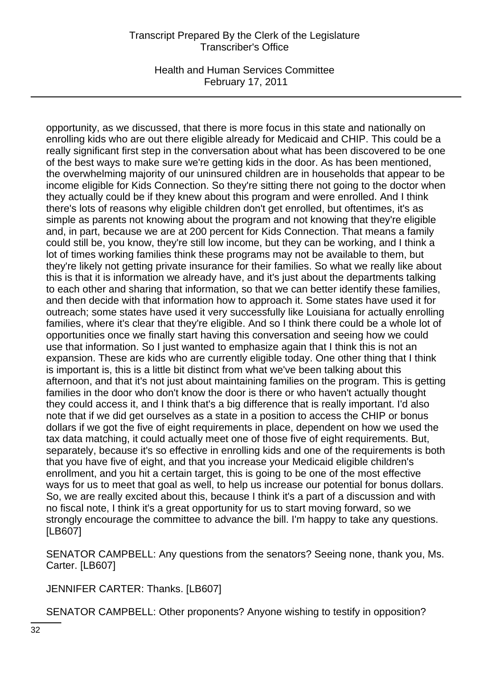Health and Human Services Committee February 17, 2011

opportunity, as we discussed, that there is more focus in this state and nationally on enrolling kids who are out there eligible already for Medicaid and CHIP. This could be a really significant first step in the conversation about what has been discovered to be one of the best ways to make sure we're getting kids in the door. As has been mentioned, the overwhelming majority of our uninsured children are in households that appear to be income eligible for Kids Connection. So they're sitting there not going to the doctor when they actually could be if they knew about this program and were enrolled. And I think there's lots of reasons why eligible children don't get enrolled, but oftentimes, it's as simple as parents not knowing about the program and not knowing that they're eligible and, in part, because we are at 200 percent for Kids Connection. That means a family could still be, you know, they're still low income, but they can be working, and I think a lot of times working families think these programs may not be available to them, but they're likely not getting private insurance for their families. So what we really like about this is that it is information we already have, and it's just about the departments talking to each other and sharing that information, so that we can better identify these families, and then decide with that information how to approach it. Some states have used it for outreach; some states have used it very successfully like Louisiana for actually enrolling families, where it's clear that they're eligible. And so I think there could be a whole lot of opportunities once we finally start having this conversation and seeing how we could use that information. So I just wanted to emphasize again that I think this is not an expansion. These are kids who are currently eligible today. One other thing that I think is important is, this is a little bit distinct from what we've been talking about this afternoon, and that it's not just about maintaining families on the program. This is getting families in the door who don't know the door is there or who haven't actually thought they could access it, and I think that's a big difference that is really important. I'd also note that if we did get ourselves as a state in a position to access the CHIP or bonus dollars if we got the five of eight requirements in place, dependent on how we used the tax data matching, it could actually meet one of those five of eight requirements. But, separately, because it's so effective in enrolling kids and one of the requirements is both that you have five of eight, and that you increase your Medicaid eligible children's enrollment, and you hit a certain target, this is going to be one of the most effective ways for us to meet that goal as well, to help us increase our potential for bonus dollars. So, we are really excited about this, because I think it's a part of a discussion and with no fiscal note, I think it's a great opportunity for us to start moving forward, so we strongly encourage the committee to advance the bill. I'm happy to take any questions. [LB607]

SENATOR CAMPBELL: Any questions from the senators? Seeing none, thank you, Ms. Carter. [LB607]

JENNIFER CARTER: Thanks. [LB607]

SENATOR CAMPBELL: Other proponents? Anyone wishing to testify in opposition?